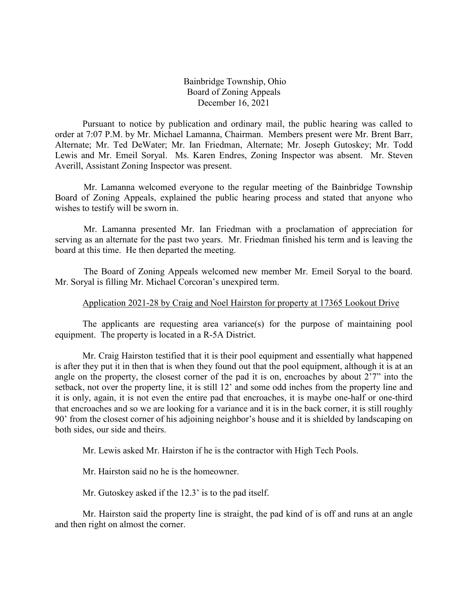Bainbridge Township, Ohio Board of Zoning Appeals December 16, 2021

Pursuant to notice by publication and ordinary mail, the public hearing was called to order at 7:07 P.M. by Mr. Michael Lamanna, Chairman. Members present were Mr. Brent Barr, Alternate; Mr. Ted DeWater; Mr. Ian Friedman, Alternate; Mr. Joseph Gutoskey; Mr. Todd Lewis and Mr. Emeil Soryal. Ms. Karen Endres, Zoning Inspector was absent. Mr. Steven Averill, Assistant Zoning Inspector was present.

Mr. Lamanna welcomed everyone to the regular meeting of the Bainbridge Township Board of Zoning Appeals, explained the public hearing process and stated that anyone who wishes to testify will be sworn in.

Mr. Lamanna presented Mr. Ian Friedman with a proclamation of appreciation for serving as an alternate for the past two years. Mr. Friedman finished his term and is leaving the board at this time. He then departed the meeting.

The Board of Zoning Appeals welcomed new member Mr. Emeil Soryal to the board. Mr. Soryal is filling Mr. Michael Corcoran's unexpired term.

### Application 2021-28 by Craig and Noel Hairston for property at 17365 Lookout Drive

The applicants are requesting area variance(s) for the purpose of maintaining pool equipment. The property is located in a R-5A District.

Mr. Craig Hairston testified that it is their pool equipment and essentially what happened is after they put it in then that is when they found out that the pool equipment, although it is at an angle on the property, the closest corner of the pad it is on, encroaches by about 2'7" into the setback, not over the property line, it is still 12' and some odd inches from the property line and it is only, again, it is not even the entire pad that encroaches, it is maybe one-half or one-third that encroaches and so we are looking for a variance and it is in the back corner, it is still roughly 90' from the closest corner of his adjoining neighbor's house and it is shielded by landscaping on both sides, our side and theirs.

Mr. Lewis asked Mr. Hairston if he is the contractor with High Tech Pools.

Mr. Hairston said no he is the homeowner.

Mr. Gutoskey asked if the 12.3' is to the pad itself.

Mr. Hairston said the property line is straight, the pad kind of is off and runs at an angle and then right on almost the corner.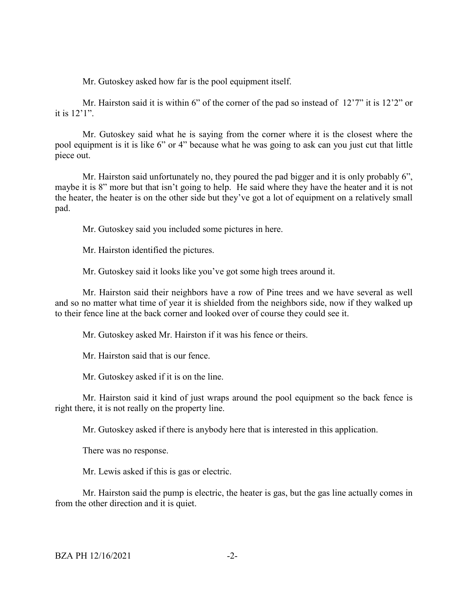Mr. Gutoskey asked how far is the pool equipment itself.

Mr. Hairston said it is within 6" of the corner of the pad so instead of 12'7" it is 12'2" or it is 12'1".

Mr. Gutoskey said what he is saying from the corner where it is the closest where the pool equipment is it is like 6" or 4" because what he was going to ask can you just cut that little piece out.

Mr. Hairston said unfortunately no, they poured the pad bigger and it is only probably 6", maybe it is 8" more but that isn't going to help. He said where they have the heater and it is not the heater, the heater is on the other side but they've got a lot of equipment on a relatively small pad.

Mr. Gutoskey said you included some pictures in here.

Mr. Hairston identified the pictures.

Mr. Gutoskey said it looks like you've got some high trees around it.

Mr. Hairston said their neighbors have a row of Pine trees and we have several as well and so no matter what time of year it is shielded from the neighbors side, now if they walked up to their fence line at the back corner and looked over of course they could see it.

Mr. Gutoskey asked Mr. Hairston if it was his fence or theirs.

Mr. Hairston said that is our fence.

Mr. Gutoskey asked if it is on the line.

Mr. Hairston said it kind of just wraps around the pool equipment so the back fence is right there, it is not really on the property line.

Mr. Gutoskey asked if there is anybody here that is interested in this application.

There was no response.

Mr. Lewis asked if this is gas or electric.

Mr. Hairston said the pump is electric, the heater is gas, but the gas line actually comes in from the other direction and it is quiet.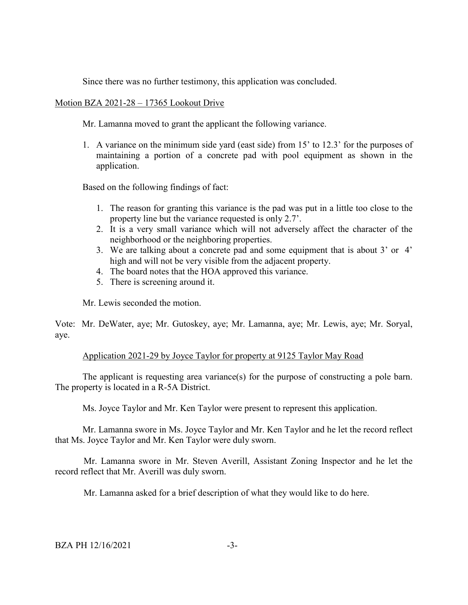Since there was no further testimony, this application was concluded.

# Motion BZA 2021-28 – 17365 Lookout Drive

Mr. Lamanna moved to grant the applicant the following variance.

1. A variance on the minimum side yard (east side) from 15' to 12.3' for the purposes of maintaining a portion of a concrete pad with pool equipment as shown in the application.

Based on the following findings of fact:

- 1. The reason for granting this variance is the pad was put in a little too close to the property line but the variance requested is only 2.7'.
- 2. It is a very small variance which will not adversely affect the character of the neighborhood or the neighboring properties.
- 3. We are talking about a concrete pad and some equipment that is about 3' or 4' high and will not be very visible from the adjacent property.
- 4. The board notes that the HOA approved this variance.
- 5. There is screening around it.

Mr. Lewis seconded the motion.

Vote: Mr. DeWater, aye; Mr. Gutoskey, aye; Mr. Lamanna, aye; Mr. Lewis, aye; Mr. Soryal, aye.

### Application 2021-29 by Joyce Taylor for property at 9125 Taylor May Road

The applicant is requesting area variance(s) for the purpose of constructing a pole barn. The property is located in a R-5A District.

Ms. Joyce Taylor and Mr. Ken Taylor were present to represent this application.

Mr. Lamanna swore in Ms. Joyce Taylor and Mr. Ken Taylor and he let the record reflect that Ms. Joyce Taylor and Mr. Ken Taylor were duly sworn.

Mr. Lamanna swore in Mr. Steven Averill, Assistant Zoning Inspector and he let the record reflect that Mr. Averill was duly sworn.

Mr. Lamanna asked for a brief description of what they would like to do here.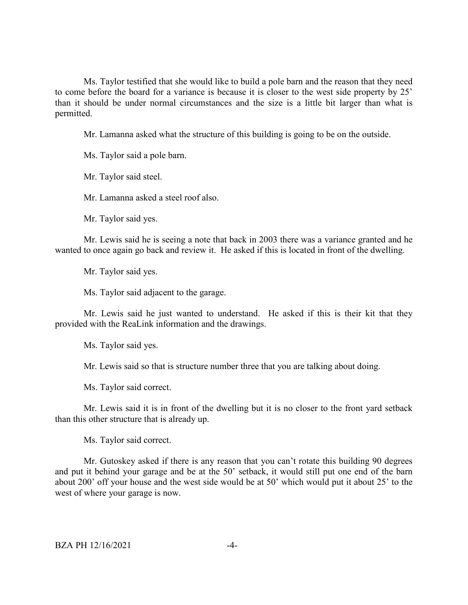Ms. Taylor testified that she would like to build a pole barn and the reason that they need to come before the board for a variance is because it is closer to the west side property by 25' than it should be under normal circumstances and the size is a little bit larger than what is permitted.

Mr. Lamanna asked what the structure of this building is going to be on the outside.

Ms. Taylor said a pole barn.

Mr. Taylor said steel.

Mr. Lamanna asked a steel roof also.

Mr. Taylor said yes.

Mr. Lewis said he is seeing a note that back in 2003 there was a variance granted and he wanted to once again go back and review it. He asked if this is located in front of the dwelling.

Mr. Taylor said yes.

Ms. Taylor said adjacent to the garage.

Mr. Lewis said he just wanted to understand. He asked if this is their kit that they provided with the ReaLink information and the drawings.

Ms. Taylor said yes.

Mr. Lewis said so that is structure number three that you are talking about doing.

Ms. Taylor said correct.

Mr. Lewis said it is in front of the dwelling but it is no closer to the front yard setback than this other structure that is already up.

Ms. Taylor said correct.

Mr. Gutoskey asked if there is any reason that you can't rotate this building 90 degrees and put it behind your garage and be at the 50' setback, it would still put one end of the barn about 200' off your house and the west side would be at 50' which would put it about 25' to the west of where your garage is now.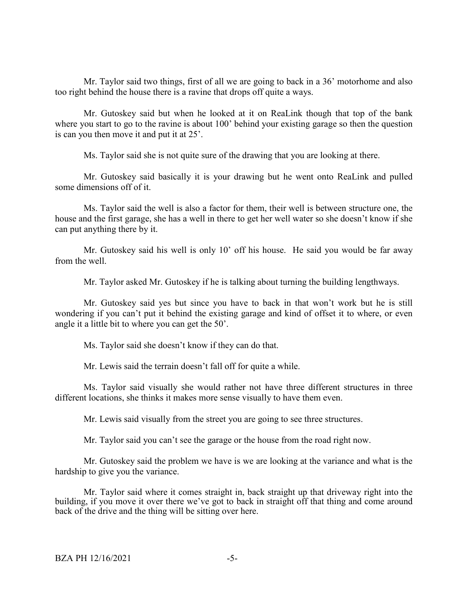Mr. Taylor said two things, first of all we are going to back in a 36' motorhome and also too right behind the house there is a ravine that drops off quite a ways.

Mr. Gutoskey said but when he looked at it on ReaLink though that top of the bank where you start to go to the ravine is about 100' behind your existing garage so then the question is can you then move it and put it at 25'.

Ms. Taylor said she is not quite sure of the drawing that you are looking at there.

Mr. Gutoskey said basically it is your drawing but he went onto ReaLink and pulled some dimensions off of it.

Ms. Taylor said the well is also a factor for them, their well is between structure one, the house and the first garage, she has a well in there to get her well water so she doesn't know if she can put anything there by it.

Mr. Gutoskey said his well is only 10' off his house. He said you would be far away from the well.

Mr. Taylor asked Mr. Gutoskey if he is talking about turning the building lengthways.

Mr. Gutoskey said yes but since you have to back in that won't work but he is still wondering if you can't put it behind the existing garage and kind of offset it to where, or even angle it a little bit to where you can get the 50'.

Ms. Taylor said she doesn't know if they can do that.

Mr. Lewis said the terrain doesn't fall off for quite a while.

Ms. Taylor said visually she would rather not have three different structures in three different locations, she thinks it makes more sense visually to have them even.

Mr. Lewis said visually from the street you are going to see three structures.

Mr. Taylor said you can't see the garage or the house from the road right now.

Mr. Gutoskey said the problem we have is we are looking at the variance and what is the hardship to give you the variance.

Mr. Taylor said where it comes straight in, back straight up that driveway right into the building, if you move it over there we've got to back in straight off that thing and come around back of the drive and the thing will be sitting over here.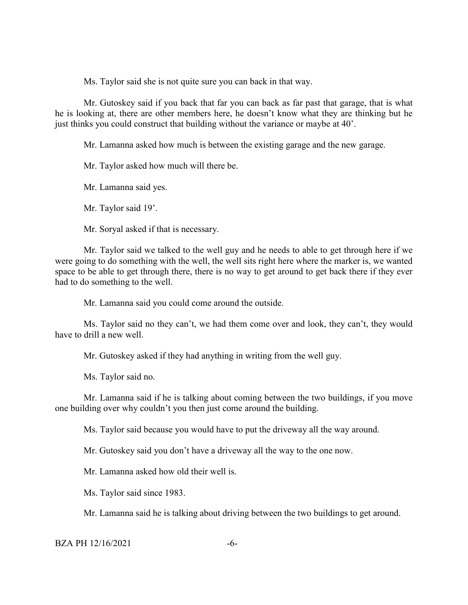Ms. Taylor said she is not quite sure you can back in that way.

Mr. Gutoskey said if you back that far you can back as far past that garage, that is what he is looking at, there are other members here, he doesn't know what they are thinking but he just thinks you could construct that building without the variance or maybe at 40'.

Mr. Lamanna asked how much is between the existing garage and the new garage.

Mr. Taylor asked how much will there be.

Mr. Lamanna said yes.

Mr. Taylor said 19'.

Mr. Soryal asked if that is necessary.

Mr. Taylor said we talked to the well guy and he needs to able to get through here if we were going to do something with the well, the well sits right here where the marker is, we wanted space to be able to get through there, there is no way to get around to get back there if they ever had to do something to the well.

Mr. Lamanna said you could come around the outside.

Ms. Taylor said no they can't, we had them come over and look, they can't, they would have to drill a new well.

Mr. Gutoskey asked if they had anything in writing from the well guy.

Ms. Taylor said no.

Mr. Lamanna said if he is talking about coming between the two buildings, if you move one building over why couldn't you then just come around the building.

Ms. Taylor said because you would have to put the driveway all the way around.

Mr. Gutoskey said you don't have a driveway all the way to the one now.

Mr. Lamanna asked how old their well is.

Ms. Taylor said since 1983.

Mr. Lamanna said he is talking about driving between the two buildings to get around.

BZA PH 12/16/2021 -6-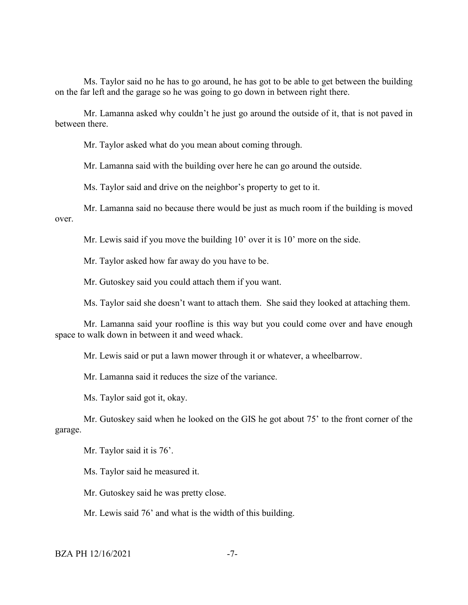Ms. Taylor said no he has to go around, he has got to be able to get between the building on the far left and the garage so he was going to go down in between right there.

Mr. Lamanna asked why couldn't he just go around the outside of it, that is not paved in between there.

Mr. Taylor asked what do you mean about coming through.

Mr. Lamanna said with the building over here he can go around the outside.

Ms. Taylor said and drive on the neighbor's property to get to it.

Mr. Lamanna said no because there would be just as much room if the building is moved over.

Mr. Lewis said if you move the building 10' over it is 10' more on the side.

Mr. Taylor asked how far away do you have to be.

Mr. Gutoskey said you could attach them if you want.

Ms. Taylor said she doesn't want to attach them. She said they looked at attaching them.

Mr. Lamanna said your roofline is this way but you could come over and have enough space to walk down in between it and weed whack.

Mr. Lewis said or put a lawn mower through it or whatever, a wheelbarrow.

Mr. Lamanna said it reduces the size of the variance.

Ms. Taylor said got it, okay.

Mr. Gutoskey said when he looked on the GIS he got about 75' to the front corner of the garage.

Mr. Taylor said it is 76'.

Ms. Taylor said he measured it.

Mr. Gutoskey said he was pretty close.

Mr. Lewis said 76' and what is the width of this building.

BZA PH 12/16/2021 -7-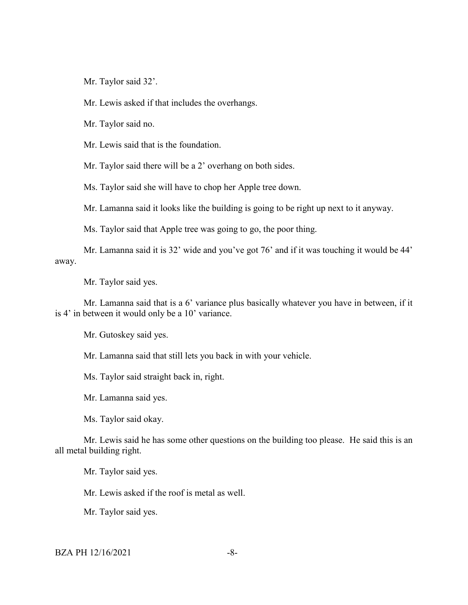Mr. Taylor said 32'.

Mr. Lewis asked if that includes the overhangs.

Mr. Taylor said no.

Mr. Lewis said that is the foundation.

Mr. Taylor said there will be a 2' overhang on both sides.

Ms. Taylor said she will have to chop her Apple tree down.

Mr. Lamanna said it looks like the building is going to be right up next to it anyway.

Ms. Taylor said that Apple tree was going to go, the poor thing.

Mr. Lamanna said it is 32' wide and you've got 76' and if it was touching it would be 44' away.

Mr. Taylor said yes.

Mr. Lamanna said that is a 6' variance plus basically whatever you have in between, if it is 4' in between it would only be a 10' variance.

Mr. Gutoskey said yes.

Mr. Lamanna said that still lets you back in with your vehicle.

Ms. Taylor said straight back in, right.

Mr. Lamanna said yes.

Ms. Taylor said okay.

Mr. Lewis said he has some other questions on the building too please. He said this is an all metal building right.

Mr. Taylor said yes.

Mr. Lewis asked if the roof is metal as well.

Mr. Taylor said yes.

BZA PH 12/16/2021 -8-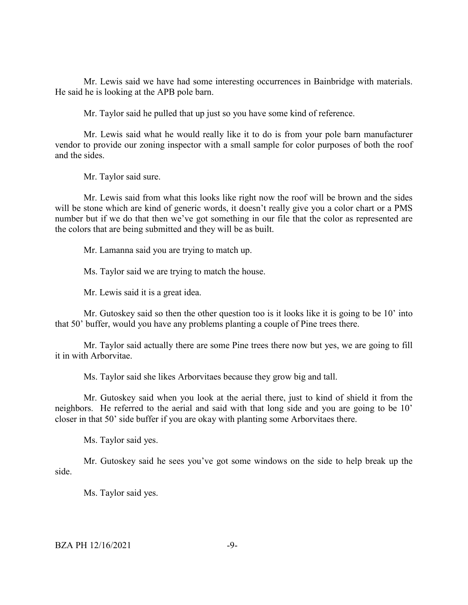Mr. Lewis said we have had some interesting occurrences in Bainbridge with materials. He said he is looking at the APB pole barn.

Mr. Taylor said he pulled that up just so you have some kind of reference.

Mr. Lewis said what he would really like it to do is from your pole barn manufacturer vendor to provide our zoning inspector with a small sample for color purposes of both the roof and the sides.

Mr. Taylor said sure.

Mr. Lewis said from what this looks like right now the roof will be brown and the sides will be stone which are kind of generic words, it doesn't really give you a color chart or a PMS number but if we do that then we've got something in our file that the color as represented are the colors that are being submitted and they will be as built.

Mr. Lamanna said you are trying to match up.

Ms. Taylor said we are trying to match the house.

Mr. Lewis said it is a great idea.

Mr. Gutoskey said so then the other question too is it looks like it is going to be 10' into that 50' buffer, would you have any problems planting a couple of Pine trees there.

Mr. Taylor said actually there are some Pine trees there now but yes, we are going to fill it in with Arborvitae.

Ms. Taylor said she likes Arborvitaes because they grow big and tall.

Mr. Gutoskey said when you look at the aerial there, just to kind of shield it from the neighbors. He referred to the aerial and said with that long side and you are going to be 10' closer in that 50' side buffer if you are okay with planting some Arborvitaes there.

Ms. Taylor said yes.

Mr. Gutoskey said he sees you've got some windows on the side to help break up the side.

Ms. Taylor said yes.

 $BZA$  PH  $12/16/2021$  -9-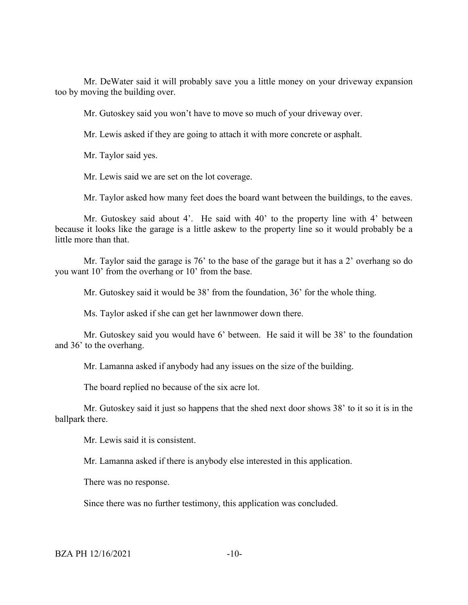Mr. DeWater said it will probably save you a little money on your driveway expansion too by moving the building over.

Mr. Gutoskey said you won't have to move so much of your driveway over.

Mr. Lewis asked if they are going to attach it with more concrete or asphalt.

Mr. Taylor said yes.

Mr. Lewis said we are set on the lot coverage.

Mr. Taylor asked how many feet does the board want between the buildings, to the eaves.

Mr. Gutoskey said about 4'. He said with 40' to the property line with 4' between because it looks like the garage is a little askew to the property line so it would probably be a little more than that.

Mr. Taylor said the garage is 76' to the base of the garage but it has a 2' overhang so do you want 10' from the overhang or 10' from the base.

Mr. Gutoskey said it would be 38' from the foundation, 36' for the whole thing.

Ms. Taylor asked if she can get her lawnmower down there.

Mr. Gutoskey said you would have 6' between. He said it will be 38' to the foundation and 36' to the overhang.

Mr. Lamanna asked if anybody had any issues on the size of the building.

The board replied no because of the six acre lot.

Mr. Gutoskey said it just so happens that the shed next door shows 38' to it so it is in the ballpark there.

Mr. Lewis said it is consistent.

Mr. Lamanna asked if there is anybody else interested in this application.

There was no response.

Since there was no further testimony, this application was concluded.

BZA PH 12/16/2021 -10-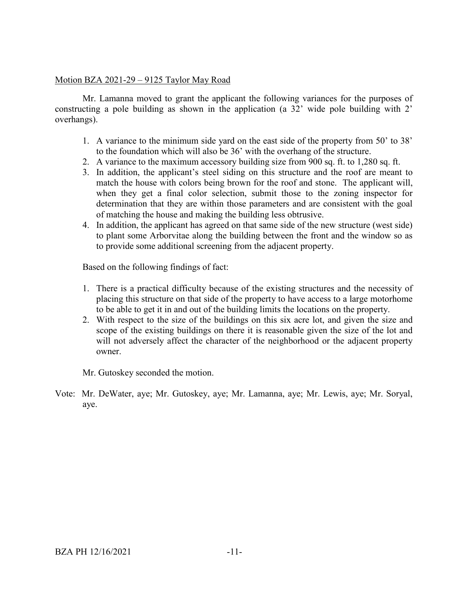# Motion BZA 2021-29 – 9125 Taylor May Road

Mr. Lamanna moved to grant the applicant the following variances for the purposes of constructing a pole building as shown in the application (a 32' wide pole building with 2' overhangs).

- 1. A variance to the minimum side yard on the east side of the property from 50' to 38' to the foundation which will also be 36' with the overhang of the structure.
- 2. A variance to the maximum accessory building size from 900 sq. ft. to 1,280 sq. ft.
- 3. In addition, the applicant's steel siding on this structure and the roof are meant to match the house with colors being brown for the roof and stone. The applicant will, when they get a final color selection, submit those to the zoning inspector for determination that they are within those parameters and are consistent with the goal of matching the house and making the building less obtrusive.
- 4. In addition, the applicant has agreed on that same side of the new structure (west side) to plant some Arborvitae along the building between the front and the window so as to provide some additional screening from the adjacent property.

Based on the following findings of fact:

- 1. There is a practical difficulty because of the existing structures and the necessity of placing this structure on that side of the property to have access to a large motorhome to be able to get it in and out of the building limits the locations on the property.
- 2. With respect to the size of the buildings on this six acre lot, and given the size and scope of the existing buildings on there it is reasonable given the size of the lot and will not adversely affect the character of the neighborhood or the adjacent property owner.

Mr. Gutoskey seconded the motion.

Vote: Mr. DeWater, aye; Mr. Gutoskey, aye; Mr. Lamanna, aye; Mr. Lewis, aye; Mr. Soryal, aye.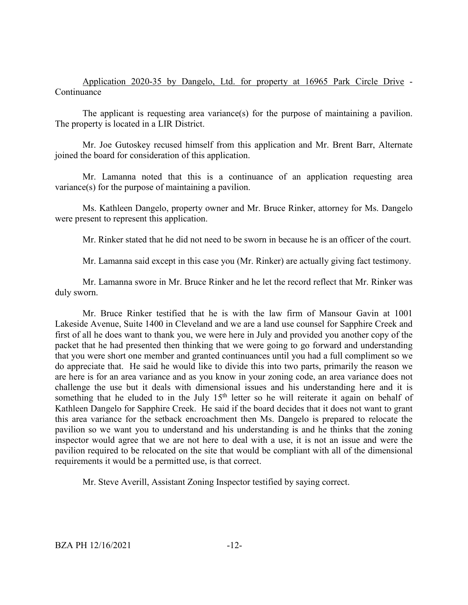# Application 2020-35 by Dangelo, Ltd. for property at 16965 Park Circle Drive - Continuance

The applicant is requesting area variance(s) for the purpose of maintaining a pavilion. The property is located in a LIR District.

Mr. Joe Gutoskey recused himself from this application and Mr. Brent Barr, Alternate joined the board for consideration of this application.

Mr. Lamanna noted that this is a continuance of an application requesting area variance(s) for the purpose of maintaining a pavilion.

Ms. Kathleen Dangelo, property owner and Mr. Bruce Rinker, attorney for Ms. Dangelo were present to represent this application.

Mr. Rinker stated that he did not need to be sworn in because he is an officer of the court.

Mr. Lamanna said except in this case you (Mr. Rinker) are actually giving fact testimony.

Mr. Lamanna swore in Mr. Bruce Rinker and he let the record reflect that Mr. Rinker was duly sworn.

Mr. Bruce Rinker testified that he is with the law firm of Mansour Gavin at 1001 Lakeside Avenue, Suite 1400 in Cleveland and we are a land use counsel for Sapphire Creek and first of all he does want to thank you, we were here in July and provided you another copy of the packet that he had presented then thinking that we were going to go forward and understanding that you were short one member and granted continuances until you had a full compliment so we do appreciate that. He said he would like to divide this into two parts, primarily the reason we are here is for an area variance and as you know in your zoning code, an area variance does not challenge the use but it deals with dimensional issues and his understanding here and it is something that he eluded to in the July 15<sup>th</sup> letter so he will reiterate it again on behalf of Kathleen Dangelo for Sapphire Creek. He said if the board decides that it does not want to grant this area variance for the setback encroachment then Ms. Dangelo is prepared to relocate the pavilion so we want you to understand and his understanding is and he thinks that the zoning inspector would agree that we are not here to deal with a use, it is not an issue and were the pavilion required to be relocated on the site that would be compliant with all of the dimensional requirements it would be a permitted use, is that correct.

Mr. Steve Averill, Assistant Zoning Inspector testified by saying correct.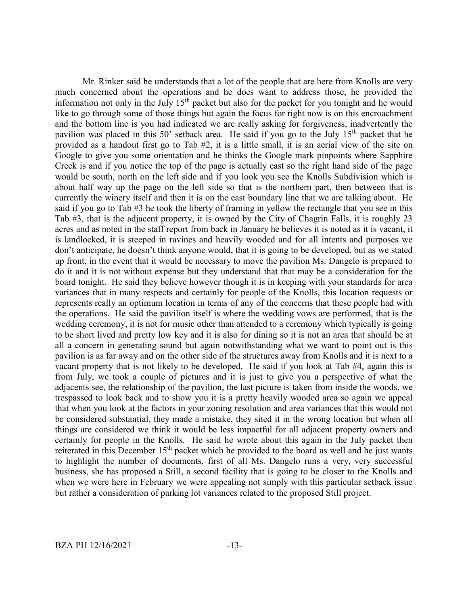Mr. Rinker said he understands that a lot of the people that are here from Knolls are very much concerned about the operations and he does want to address those, he provided the information not only in the July  $15<sup>th</sup>$  packet but also for the packet for you tonight and he would like to go through some of those things but again the focus for right now is on this encroachment and the bottom line is you had indicated we are really asking for forgiveness, inadvertently the pavilion was placed in this 50' setback area. He said if you go to the July  $15<sup>th</sup>$  packet that he provided as a handout first go to Tab #2, it is a little small, it is an aerial view of the site on Google to give you some orientation and he thinks the Google mark pinpoints where Sapphire Creek is and if you notice the top of the page is actually east so the right hand side of the page would be south, north on the left side and if you look you see the Knolls Subdivision which is about half way up the page on the left side so that is the northern part, then between that is currently the winery itself and then it is on the east boundary line that we are talking about. He said if you go to Tab #3 he took the liberty of framing in yellow the rectangle that you see in this Tab #3, that is the adjacent property, it is owned by the City of Chagrin Falls, it is roughly 23 acres and as noted in the staff report from back in January he believes it is noted as it is vacant, it is landlocked, it is steeped in ravines and heavily wooded and for all intents and purposes we don't anticipate, he doesn't think anyone would, that it is going to be developed, but as we stated up front, in the event that it would be necessary to move the pavilion Ms. Dangelo is prepared to do it and it is not without expense but they understand that that may be a consideration for the board tonight. He said they believe however though it is in keeping with your standards for area variances that in many respects and certainly for people of the Knolls, this location requests or represents really an optimum location in terms of any of the concerns that these people had with the operations. He said the pavilion itself is where the wedding vows are performed, that is the wedding ceremony, it is not for music other than attended to a ceremony which typically is going to be short lived and pretty low key and it is also for dining so it is not an area that should be at all a concern in generating sound but again notwithstanding what we want to point out is this pavilion is as far away and on the other side of the structures away from Knolls and it is next to a vacant property that is not likely to be developed. He said if you look at Tab #4, again this is from July, we took a couple of pictures and it is just to give you a perspective of what the adjacents see, the relationship of the pavilion, the last picture is taken from inside the woods, we trespassed to look back and to show you it is a pretty heavily wooded area so again we appeal that when you look at the factors in your zoning resolution and area variances that this would not be considered substantial, they made a mistake, they sited it in the wrong location but when all things are considered we think it would be less impactful for all adjacent property owners and certainly for people in the Knolls. He said he wrote about this again in the July packet then reiterated in this December 15<sup>th</sup> packet which he provided to the board as well and he just wants to highlight the number of documents, first of all Ms. Dangelo runs a very, very successful business, she has proposed a Still, a second facility that is going to be closer to the Knolls and when we were here in February we were appealing not simply with this particular setback issue but rather a consideration of parking lot variances related to the proposed Still project.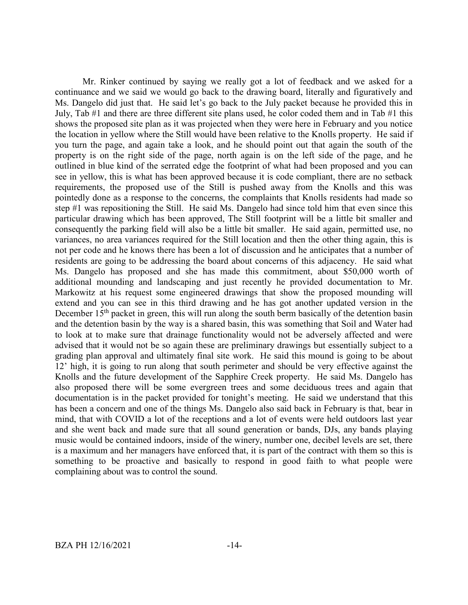Mr. Rinker continued by saying we really got a lot of feedback and we asked for a continuance and we said we would go back to the drawing board, literally and figuratively and Ms. Dangelo did just that. He said let's go back to the July packet because he provided this in July, Tab #1 and there are three different site plans used, he color coded them and in Tab #1 this shows the proposed site plan as it was projected when they were here in February and you notice the location in yellow where the Still would have been relative to the Knolls property. He said if you turn the page, and again take a look, and he should point out that again the south of the property is on the right side of the page, north again is on the left side of the page, and he outlined in blue kind of the serrated edge the footprint of what had been proposed and you can see in yellow, this is what has been approved because it is code compliant, there are no setback requirements, the proposed use of the Still is pushed away from the Knolls and this was pointedly done as a response to the concerns, the complaints that Knolls residents had made so step #1 was repositioning the Still. He said Ms. Dangelo had since told him that even since this particular drawing which has been approved, The Still footprint will be a little bit smaller and consequently the parking field will also be a little bit smaller. He said again, permitted use, no variances, no area variances required for the Still location and then the other thing again, this is not per code and he knows there has been a lot of discussion and he anticipates that a number of residents are going to be addressing the board about concerns of this adjacency. He said what Ms. Dangelo has proposed and she has made this commitment, about \$50,000 worth of additional mounding and landscaping and just recently he provided documentation to Mr. Markowitz at his request some engineered drawings that show the proposed mounding will extend and you can see in this third drawing and he has got another updated version in the December  $15<sup>th</sup>$  packet in green, this will run along the south berm basically of the detention basin and the detention basin by the way is a shared basin, this was something that Soil and Water had to look at to make sure that drainage functionality would not be adversely affected and were advised that it would not be so again these are preliminary drawings but essentially subject to a grading plan approval and ultimately final site work. He said this mound is going to be about 12' high, it is going to run along that south perimeter and should be very effective against the Knolls and the future development of the Sapphire Creek property. He said Ms. Dangelo has also proposed there will be some evergreen trees and some deciduous trees and again that documentation is in the packet provided for tonight's meeting. He said we understand that this has been a concern and one of the things Ms. Dangelo also said back in February is that, bear in mind, that with COVID a lot of the receptions and a lot of events were held outdoors last year and she went back and made sure that all sound generation or bands, DJs, any bands playing music would be contained indoors, inside of the winery, number one, decibel levels are set, there is a maximum and her managers have enforced that, it is part of the contract with them so this is something to be proactive and basically to respond in good faith to what people were complaining about was to control the sound.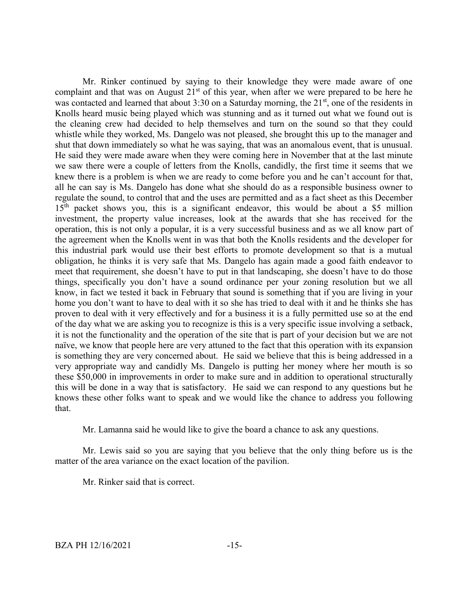Mr. Rinker continued by saying to their knowledge they were made aware of one complaint and that was on August  $21<sup>st</sup>$  of this year, when after we were prepared to be here he was contacted and learned that about 3:30 on a Saturday morning, the 21<sup>st</sup>, one of the residents in Knolls heard music being played which was stunning and as it turned out what we found out is the cleaning crew had decided to help themselves and turn on the sound so that they could whistle while they worked, Ms. Dangelo was not pleased, she brought this up to the manager and shut that down immediately so what he was saying, that was an anomalous event, that is unusual. He said they were made aware when they were coming here in November that at the last minute we saw there were a couple of letters from the Knolls, candidly, the first time it seems that we knew there is a problem is when we are ready to come before you and he can't account for that, all he can say is Ms. Dangelo has done what she should do as a responsible business owner to regulate the sound, to control that and the uses are permitted and as a fact sheet as this December 15<sup>th</sup> packet shows you, this is a significant endeavor, this would be about a \$5 million investment, the property value increases, look at the awards that she has received for the operation, this is not only a popular, it is a very successful business and as we all know part of the agreement when the Knolls went in was that both the Knolls residents and the developer for this industrial park would use their best efforts to promote development so that is a mutual obligation, he thinks it is very safe that Ms. Dangelo has again made a good faith endeavor to meet that requirement, she doesn't have to put in that landscaping, she doesn't have to do those things, specifically you don't have a sound ordinance per your zoning resolution but we all know, in fact we tested it back in February that sound is something that if you are living in your home you don't want to have to deal with it so she has tried to deal with it and he thinks she has proven to deal with it very effectively and for a business it is a fully permitted use so at the end of the day what we are asking you to recognize is this is a very specific issue involving a setback, it is not the functionality and the operation of the site that is part of your decision but we are not naïve, we know that people here are very attuned to the fact that this operation with its expansion is something they are very concerned about. He said we believe that this is being addressed in a very appropriate way and candidly Ms. Dangelo is putting her money where her mouth is so these \$50,000 in improvements in order to make sure and in addition to operational structurally this will be done in a way that is satisfactory. He said we can respond to any questions but he knows these other folks want to speak and we would like the chance to address you following that.

Mr. Lamanna said he would like to give the board a chance to ask any questions.

Mr. Lewis said so you are saying that you believe that the only thing before us is the matter of the area variance on the exact location of the pavilion.

Mr. Rinker said that is correct.

BZA PH 12/16/2021 -15-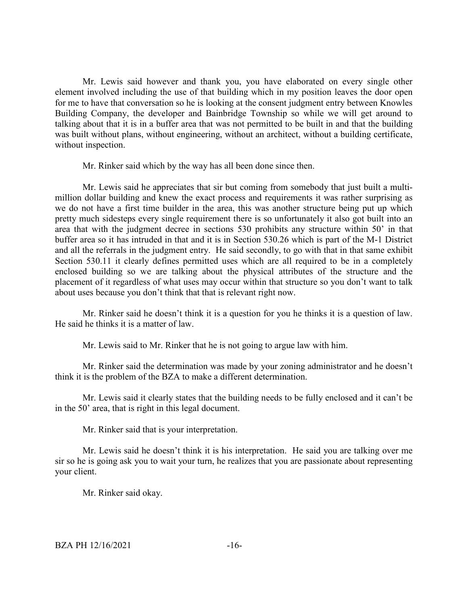Mr. Lewis said however and thank you, you have elaborated on every single other element involved including the use of that building which in my position leaves the door open for me to have that conversation so he is looking at the consent judgment entry between Knowles Building Company, the developer and Bainbridge Township so while we will get around to talking about that it is in a buffer area that was not permitted to be built in and that the building was built without plans, without engineering, without an architect, without a building certificate, without inspection.

Mr. Rinker said which by the way has all been done since then.

Mr. Lewis said he appreciates that sir but coming from somebody that just built a multimillion dollar building and knew the exact process and requirements it was rather surprising as we do not have a first time builder in the area, this was another structure being put up which pretty much sidesteps every single requirement there is so unfortunately it also got built into an area that with the judgment decree in sections 530 prohibits any structure within 50' in that buffer area so it has intruded in that and it is in Section 530.26 which is part of the M-1 District and all the referrals in the judgment entry. He said secondly, to go with that in that same exhibit Section 530.11 it clearly defines permitted uses which are all required to be in a completely enclosed building so we are talking about the physical attributes of the structure and the placement of it regardless of what uses may occur within that structure so you don't want to talk about uses because you don't think that that is relevant right now.

Mr. Rinker said he doesn't think it is a question for you he thinks it is a question of law. He said he thinks it is a matter of law.

Mr. Lewis said to Mr. Rinker that he is not going to argue law with him.

Mr. Rinker said the determination was made by your zoning administrator and he doesn't think it is the problem of the BZA to make a different determination.

Mr. Lewis said it clearly states that the building needs to be fully enclosed and it can't be in the 50' area, that is right in this legal document.

Mr. Rinker said that is your interpretation.

Mr. Lewis said he doesn't think it is his interpretation. He said you are talking over me sir so he is going ask you to wait your turn, he realizes that you are passionate about representing your client.

Mr. Rinker said okay.

 $BZA PH$  12/16/2021 -16-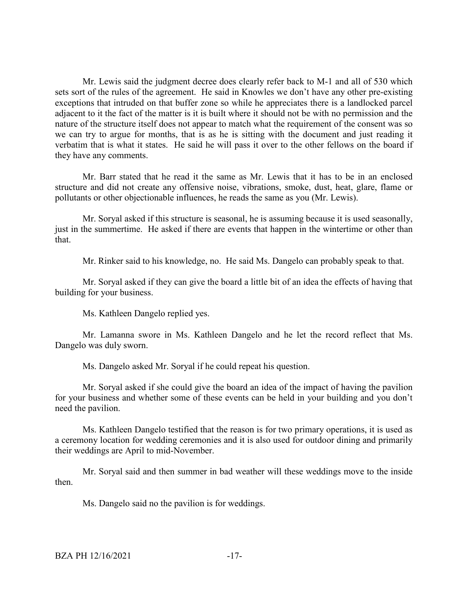Mr. Lewis said the judgment decree does clearly refer back to M-1 and all of 530 which sets sort of the rules of the agreement. He said in Knowles we don't have any other pre-existing exceptions that intruded on that buffer zone so while he appreciates there is a landlocked parcel adjacent to it the fact of the matter is it is built where it should not be with no permission and the nature of the structure itself does not appear to match what the requirement of the consent was so we can try to argue for months, that is as he is sitting with the document and just reading it verbatim that is what it states. He said he will pass it over to the other fellows on the board if they have any comments.

Mr. Barr stated that he read it the same as Mr. Lewis that it has to be in an enclosed structure and did not create any offensive noise, vibrations, smoke, dust, heat, glare, flame or pollutants or other objectionable influences, he reads the same as you (Mr. Lewis).

Mr. Soryal asked if this structure is seasonal, he is assuming because it is used seasonally, just in the summertime. He asked if there are events that happen in the wintertime or other than that.

Mr. Rinker said to his knowledge, no. He said Ms. Dangelo can probably speak to that.

Mr. Soryal asked if they can give the board a little bit of an idea the effects of having that building for your business.

Ms. Kathleen Dangelo replied yes.

Mr. Lamanna swore in Ms. Kathleen Dangelo and he let the record reflect that Ms. Dangelo was duly sworn.

Ms. Dangelo asked Mr. Soryal if he could repeat his question.

Mr. Soryal asked if she could give the board an idea of the impact of having the pavilion for your business and whether some of these events can be held in your building and you don't need the pavilion.

Ms. Kathleen Dangelo testified that the reason is for two primary operations, it is used as a ceremony location for wedding ceremonies and it is also used for outdoor dining and primarily their weddings are April to mid-November.

Mr. Soryal said and then summer in bad weather will these weddings move to the inside then.

Ms. Dangelo said no the pavilion is for weddings.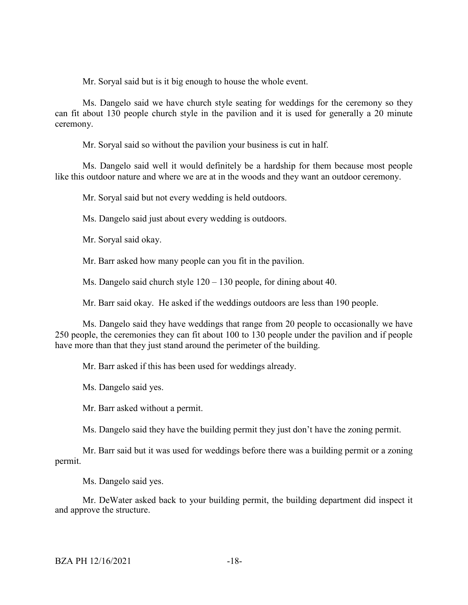Mr. Soryal said but is it big enough to house the whole event.

Ms. Dangelo said we have church style seating for weddings for the ceremony so they can fit about 130 people church style in the pavilion and it is used for generally a 20 minute ceremony.

Mr. Soryal said so without the pavilion your business is cut in half.

Ms. Dangelo said well it would definitely be a hardship for them because most people like this outdoor nature and where we are at in the woods and they want an outdoor ceremony.

Mr. Soryal said but not every wedding is held outdoors.

Ms. Dangelo said just about every wedding is outdoors.

Mr. Soryal said okay.

Mr. Barr asked how many people can you fit in the pavilion.

Ms. Dangelo said church style  $120 - 130$  people, for dining about 40.

Mr. Barr said okay. He asked if the weddings outdoors are less than 190 people.

Ms. Dangelo said they have weddings that range from 20 people to occasionally we have 250 people, the ceremonies they can fit about 100 to 130 people under the pavilion and if people have more than that they just stand around the perimeter of the building.

Mr. Barr asked if this has been used for weddings already.

Ms. Dangelo said yes.

Mr. Barr asked without a permit.

Ms. Dangelo said they have the building permit they just don't have the zoning permit.

Mr. Barr said but it was used for weddings before there was a building permit or a zoning permit.

Ms. Dangelo said yes.

Mr. DeWater asked back to your building permit, the building department did inspect it and approve the structure.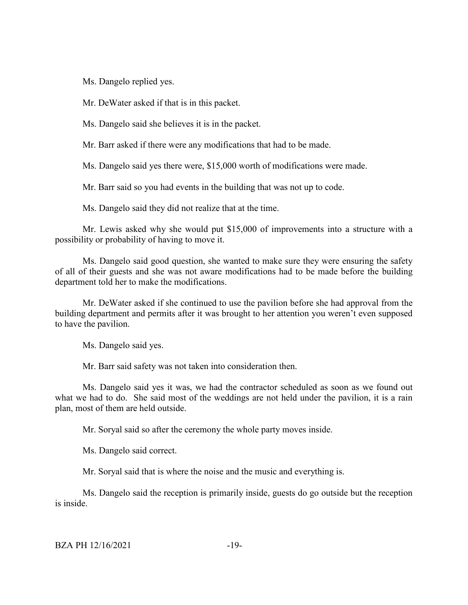Ms. Dangelo replied yes.

Mr. DeWater asked if that is in this packet.

Ms. Dangelo said she believes it is in the packet.

Mr. Barr asked if there were any modifications that had to be made.

Ms. Dangelo said yes there were, \$15,000 worth of modifications were made.

Mr. Barr said so you had events in the building that was not up to code.

Ms. Dangelo said they did not realize that at the time.

Mr. Lewis asked why she would put \$15,000 of improvements into a structure with a possibility or probability of having to move it.

Ms. Dangelo said good question, she wanted to make sure they were ensuring the safety of all of their guests and she was not aware modifications had to be made before the building department told her to make the modifications.

Mr. DeWater asked if she continued to use the pavilion before she had approval from the building department and permits after it was brought to her attention you weren't even supposed to have the pavilion.

Ms. Dangelo said yes.

Mr. Barr said safety was not taken into consideration then.

Ms. Dangelo said yes it was, we had the contractor scheduled as soon as we found out what we had to do. She said most of the weddings are not held under the pavilion, it is a rain plan, most of them are held outside.

Mr. Soryal said so after the ceremony the whole party moves inside.

Ms. Dangelo said correct.

Mr. Soryal said that is where the noise and the music and everything is.

Ms. Dangelo said the reception is primarily inside, guests do go outside but the reception is inside.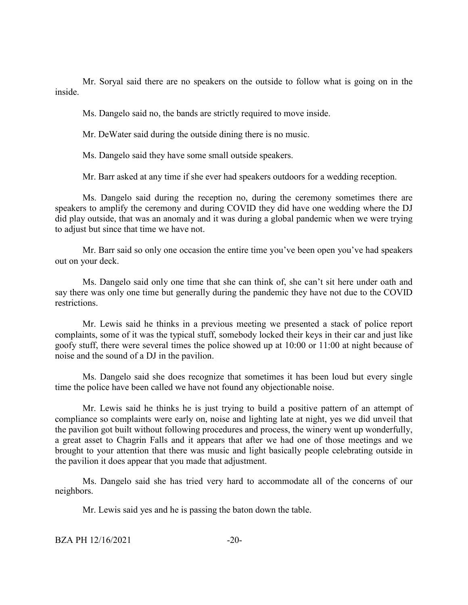Mr. Soryal said there are no speakers on the outside to follow what is going on in the inside.

Ms. Dangelo said no, the bands are strictly required to move inside.

Mr. DeWater said during the outside dining there is no music.

Ms. Dangelo said they have some small outside speakers.

Mr. Barr asked at any time if she ever had speakers outdoors for a wedding reception.

Ms. Dangelo said during the reception no, during the ceremony sometimes there are speakers to amplify the ceremony and during COVID they did have one wedding where the DJ did play outside, that was an anomaly and it was during a global pandemic when we were trying to adjust but since that time we have not.

Mr. Barr said so only one occasion the entire time you've been open you've had speakers out on your deck.

Ms. Dangelo said only one time that she can think of, she can't sit here under oath and say there was only one time but generally during the pandemic they have not due to the COVID restrictions.

Mr. Lewis said he thinks in a previous meeting we presented a stack of police report complaints, some of it was the typical stuff, somebody locked their keys in their car and just like goofy stuff, there were several times the police showed up at 10:00 or 11:00 at night because of noise and the sound of a DJ in the pavilion.

Ms. Dangelo said she does recognize that sometimes it has been loud but every single time the police have been called we have not found any objectionable noise.

Mr. Lewis said he thinks he is just trying to build a positive pattern of an attempt of compliance so complaints were early on, noise and lighting late at night, yes we did unveil that the pavilion got built without following procedures and process, the winery went up wonderfully, a great asset to Chagrin Falls and it appears that after we had one of those meetings and we brought to your attention that there was music and light basically people celebrating outside in the pavilion it does appear that you made that adjustment.

Ms. Dangelo said she has tried very hard to accommodate all of the concerns of our neighbors.

Mr. Lewis said yes and he is passing the baton down the table.

BZA PH 12/16/2021 -20-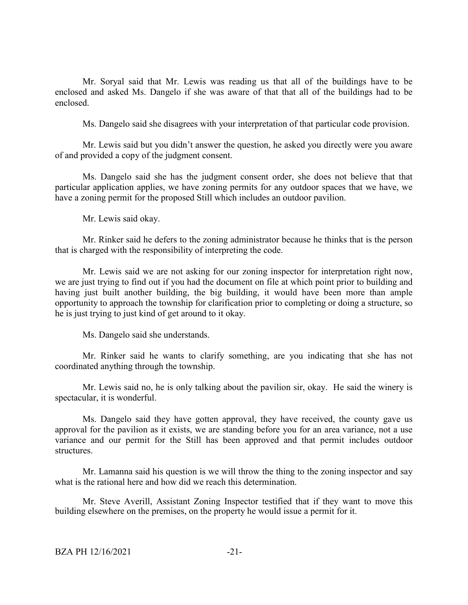Mr. Soryal said that Mr. Lewis was reading us that all of the buildings have to be enclosed and asked Ms. Dangelo if she was aware of that that all of the buildings had to be enclosed.

Ms. Dangelo said she disagrees with your interpretation of that particular code provision.

Mr. Lewis said but you didn't answer the question, he asked you directly were you aware of and provided a copy of the judgment consent.

Ms. Dangelo said she has the judgment consent order, she does not believe that that particular application applies, we have zoning permits for any outdoor spaces that we have, we have a zoning permit for the proposed Still which includes an outdoor pavilion.

Mr. Lewis said okay.

Mr. Rinker said he defers to the zoning administrator because he thinks that is the person that is charged with the responsibility of interpreting the code.

Mr. Lewis said we are not asking for our zoning inspector for interpretation right now, we are just trying to find out if you had the document on file at which point prior to building and having just built another building, the big building, it would have been more than ample opportunity to approach the township for clarification prior to completing or doing a structure, so he is just trying to just kind of get around to it okay.

Ms. Dangelo said she understands.

Mr. Rinker said he wants to clarify something, are you indicating that she has not coordinated anything through the township.

Mr. Lewis said no, he is only talking about the pavilion sir, okay. He said the winery is spectacular, it is wonderful.

Ms. Dangelo said they have gotten approval, they have received, the county gave us approval for the pavilion as it exists, we are standing before you for an area variance, not a use variance and our permit for the Still has been approved and that permit includes outdoor structures.

Mr. Lamanna said his question is we will throw the thing to the zoning inspector and say what is the rational here and how did we reach this determination.

Mr. Steve Averill, Assistant Zoning Inspector testified that if they want to move this building elsewhere on the premises, on the property he would issue a permit for it.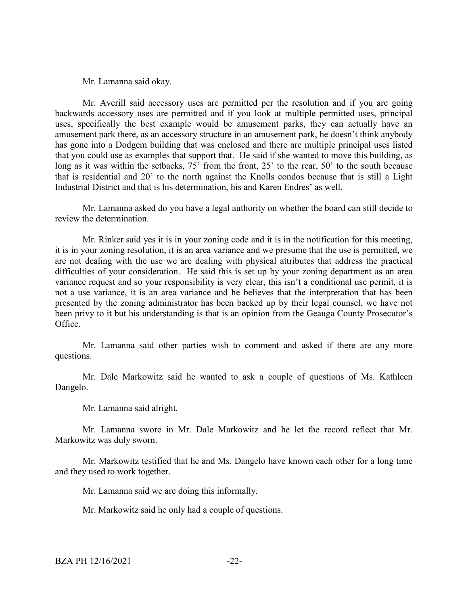Mr. Lamanna said okay.

Mr. Averill said accessory uses are permitted per the resolution and if you are going backwards accessory uses are permitted and if you look at multiple permitted uses, principal uses, specifically the best example would be amusement parks, they can actually have an amusement park there, as an accessory structure in an amusement park, he doesn't think anybody has gone into a Dodgem building that was enclosed and there are multiple principal uses listed that you could use as examples that support that. He said if she wanted to move this building, as long as it was within the setbacks, 75' from the front, 25' to the rear, 50' to the south because that is residential and 20' to the north against the Knolls condos because that is still a Light Industrial District and that is his determination, his and Karen Endres' as well.

Mr. Lamanna asked do you have a legal authority on whether the board can still decide to review the determination.

Mr. Rinker said yes it is in your zoning code and it is in the notification for this meeting, it is in your zoning resolution, it is an area variance and we presume that the use is permitted, we are not dealing with the use we are dealing with physical attributes that address the practical difficulties of your consideration. He said this is set up by your zoning department as an area variance request and so your responsibility is very clear, this isn't a conditional use permit, it is not a use variance, it is an area variance and he believes that the interpretation that has been presented by the zoning administrator has been backed up by their legal counsel, we have not been privy to it but his understanding is that is an opinion from the Geauga County Prosecutor's Office.

Mr. Lamanna said other parties wish to comment and asked if there are any more questions.

Mr. Dale Markowitz said he wanted to ask a couple of questions of Ms. Kathleen Dangelo.

Mr. Lamanna said alright.

Mr. Lamanna swore in Mr. Dale Markowitz and he let the record reflect that Mr. Markowitz was duly sworn.

Mr. Markowitz testified that he and Ms. Dangelo have known each other for a long time and they used to work together.

Mr. Lamanna said we are doing this informally.

Mr. Markowitz said he only had a couple of questions.

BZA PH 12/16/2021 -22-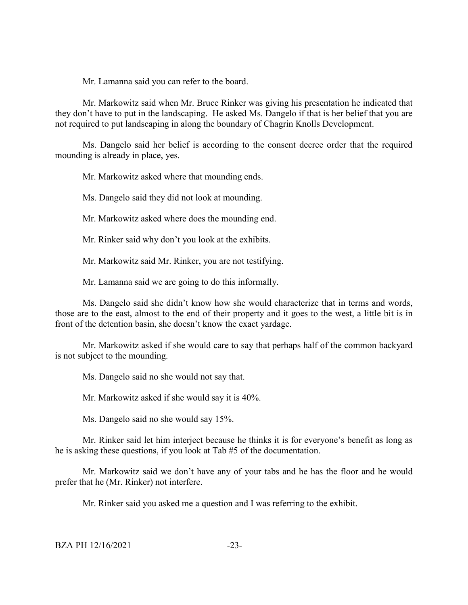Mr. Lamanna said you can refer to the board.

Mr. Markowitz said when Mr. Bruce Rinker was giving his presentation he indicated that they don't have to put in the landscaping. He asked Ms. Dangelo if that is her belief that you are not required to put landscaping in along the boundary of Chagrin Knolls Development.

Ms. Dangelo said her belief is according to the consent decree order that the required mounding is already in place, yes.

Mr. Markowitz asked where that mounding ends.

Ms. Dangelo said they did not look at mounding.

Mr. Markowitz asked where does the mounding end.

Mr. Rinker said why don't you look at the exhibits.

Mr. Markowitz said Mr. Rinker, you are not testifying.

Mr. Lamanna said we are going to do this informally.

Ms. Dangelo said she didn't know how she would characterize that in terms and words, those are to the east, almost to the end of their property and it goes to the west, a little bit is in front of the detention basin, she doesn't know the exact yardage.

Mr. Markowitz asked if she would care to say that perhaps half of the common backyard is not subject to the mounding.

Ms. Dangelo said no she would not say that.

Mr. Markowitz asked if she would say it is 40%.

Ms. Dangelo said no she would say 15%.

Mr. Rinker said let him interject because he thinks it is for everyone's benefit as long as he is asking these questions, if you look at Tab #5 of the documentation.

Mr. Markowitz said we don't have any of your tabs and he has the floor and he would prefer that he (Mr. Rinker) not interfere.

Mr. Rinker said you asked me a question and I was referring to the exhibit.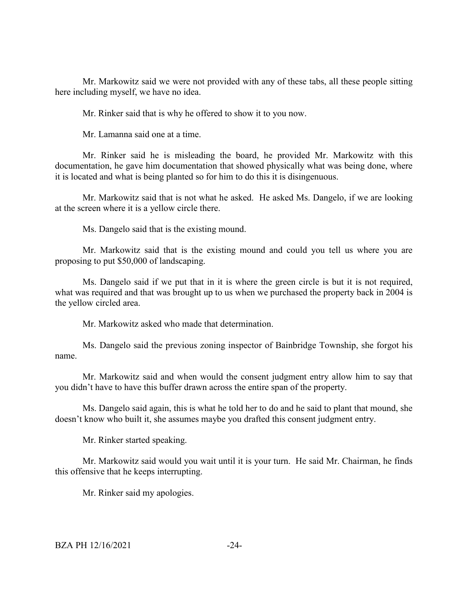Mr. Markowitz said we were not provided with any of these tabs, all these people sitting here including myself, we have no idea.

Mr. Rinker said that is why he offered to show it to you now.

Mr. Lamanna said one at a time.

Mr. Rinker said he is misleading the board, he provided Mr. Markowitz with this documentation, he gave him documentation that showed physically what was being done, where it is located and what is being planted so for him to do this it is disingenuous.

Mr. Markowitz said that is not what he asked. He asked Ms. Dangelo, if we are looking at the screen where it is a yellow circle there.

Ms. Dangelo said that is the existing mound.

Mr. Markowitz said that is the existing mound and could you tell us where you are proposing to put \$50,000 of landscaping.

Ms. Dangelo said if we put that in it is where the green circle is but it is not required, what was required and that was brought up to us when we purchased the property back in 2004 is the yellow circled area.

Mr. Markowitz asked who made that determination.

Ms. Dangelo said the previous zoning inspector of Bainbridge Township, she forgot his name.

Mr. Markowitz said and when would the consent judgment entry allow him to say that you didn't have to have this buffer drawn across the entire span of the property.

Ms. Dangelo said again, this is what he told her to do and he said to plant that mound, she doesn't know who built it, she assumes maybe you drafted this consent judgment entry.

Mr. Rinker started speaking.

Mr. Markowitz said would you wait until it is your turn. He said Mr. Chairman, he finds this offensive that he keeps interrupting.

Mr. Rinker said my apologies.

BZA PH 12/16/2021 -24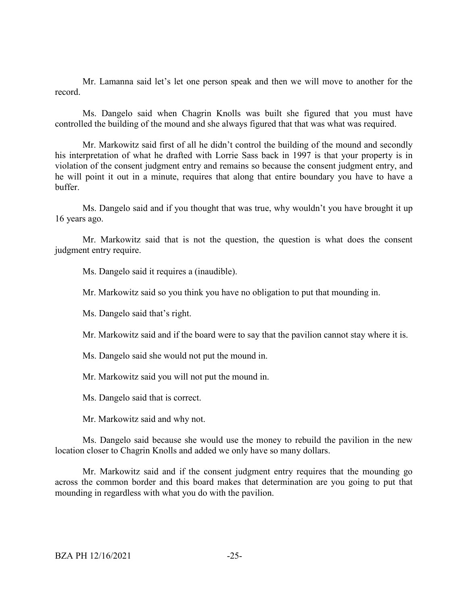Mr. Lamanna said let's let one person speak and then we will move to another for the record.

Ms. Dangelo said when Chagrin Knolls was built she figured that you must have controlled the building of the mound and she always figured that that was what was required.

Mr. Markowitz said first of all he didn't control the building of the mound and secondly his interpretation of what he drafted with Lorrie Sass back in 1997 is that your property is in violation of the consent judgment entry and remains so because the consent judgment entry, and he will point it out in a minute, requires that along that entire boundary you have to have a buffer.

Ms. Dangelo said and if you thought that was true, why wouldn't you have brought it up 16 years ago.

Mr. Markowitz said that is not the question, the question is what does the consent judgment entry require.

Ms. Dangelo said it requires a (inaudible).

Mr. Markowitz said so you think you have no obligation to put that mounding in.

Ms. Dangelo said that's right.

Mr. Markowitz said and if the board were to say that the pavilion cannot stay where it is.

Ms. Dangelo said she would not put the mound in.

Mr. Markowitz said you will not put the mound in.

Ms. Dangelo said that is correct.

Mr. Markowitz said and why not.

Ms. Dangelo said because she would use the money to rebuild the pavilion in the new location closer to Chagrin Knolls and added we only have so many dollars.

Mr. Markowitz said and if the consent judgment entry requires that the mounding go across the common border and this board makes that determination are you going to put that mounding in regardless with what you do with the pavilion.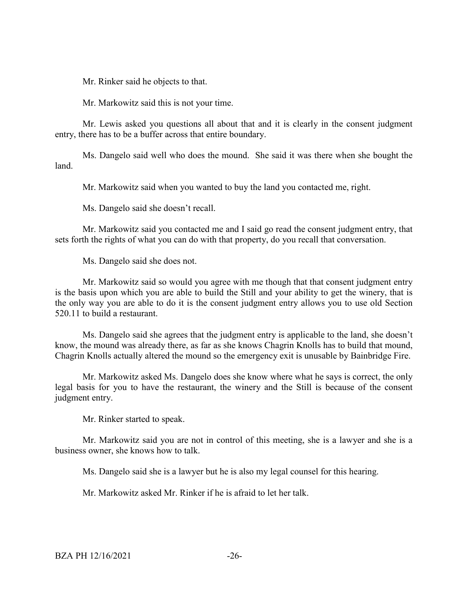Mr. Rinker said he objects to that.

Mr. Markowitz said this is not your time.

Mr. Lewis asked you questions all about that and it is clearly in the consent judgment entry, there has to be a buffer across that entire boundary.

Ms. Dangelo said well who does the mound. She said it was there when she bought the land.

Mr. Markowitz said when you wanted to buy the land you contacted me, right.

Ms. Dangelo said she doesn't recall.

Mr. Markowitz said you contacted me and I said go read the consent judgment entry, that sets forth the rights of what you can do with that property, do you recall that conversation.

Ms. Dangelo said she does not.

Mr. Markowitz said so would you agree with me though that that consent judgment entry is the basis upon which you are able to build the Still and your ability to get the winery, that is the only way you are able to do it is the consent judgment entry allows you to use old Section 520.11 to build a restaurant.

Ms. Dangelo said she agrees that the judgment entry is applicable to the land, she doesn't know, the mound was already there, as far as she knows Chagrin Knolls has to build that mound, Chagrin Knolls actually altered the mound so the emergency exit is unusable by Bainbridge Fire.

Mr. Markowitz asked Ms. Dangelo does she know where what he says is correct, the only legal basis for you to have the restaurant, the winery and the Still is because of the consent judgment entry.

Mr. Rinker started to speak.

Mr. Markowitz said you are not in control of this meeting, she is a lawyer and she is a business owner, she knows how to talk.

Ms. Dangelo said she is a lawyer but he is also my legal counsel for this hearing.

Mr. Markowitz asked Mr. Rinker if he is afraid to let her talk.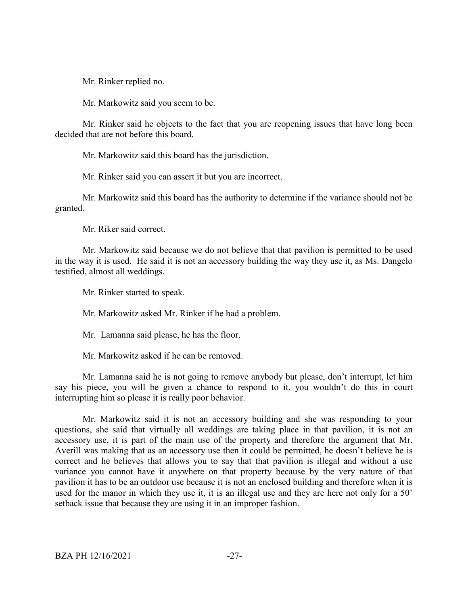Mr. Rinker replied no.

Mr. Markowitz said you seem to be.

Mr. Rinker said he objects to the fact that you are reopening issues that have long been decided that are not before this board.

Mr. Markowitz said this board has the jurisdiction.

Mr. Rinker said you can assert it but you are incorrect.

Mr. Markowitz said this board has the authority to determine if the variance should not be granted.

Mr. Riker said correct.

Mr. Markowitz said because we do not believe that that pavilion is permitted to be used in the way it is used. He said it is not an accessory building the way they use it, as Ms. Dangelo testified, almost all weddings.

Mr. Rinker started to speak.

Mr. Markowitz asked Mr. Rinker if he had a problem.

Mr. Lamanna said please, he has the floor.

Mr. Markowitz asked if he can be removed.

Mr. Lamanna said he is not going to remove anybody but please, don't interrupt, let him say his piece, you will be given a chance to respond to it, you wouldn't do this in court interrupting him so please it is really poor behavior.

Mr. Markowitz said it is not an accessory building and she was responding to your questions, she said that virtually all weddings are taking place in that pavilion, it is not an accessory use, it is part of the main use of the property and therefore the argument that Mr. Averill was making that as an accessory use then it could be permitted, he doesn't believe he is correct and he believes that allows you to say that that pavilion is illegal and without a use variance you cannot have it anywhere on that property because by the very nature of that pavilion it has to be an outdoor use because it is not an enclosed building and therefore when it is used for the manor in which they use it, it is an illegal use and they are here not only for a 50' setback issue that because they are using it in an improper fashion.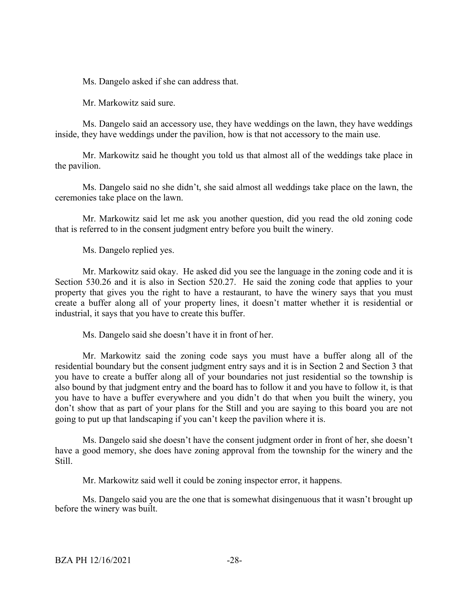Ms. Dangelo asked if she can address that.

Mr. Markowitz said sure.

Ms. Dangelo said an accessory use, they have weddings on the lawn, they have weddings inside, they have weddings under the pavilion, how is that not accessory to the main use.

Mr. Markowitz said he thought you told us that almost all of the weddings take place in the pavilion.

Ms. Dangelo said no she didn't, she said almost all weddings take place on the lawn, the ceremonies take place on the lawn.

Mr. Markowitz said let me ask you another question, did you read the old zoning code that is referred to in the consent judgment entry before you built the winery.

Ms. Dangelo replied yes.

Mr. Markowitz said okay. He asked did you see the language in the zoning code and it is Section 530.26 and it is also in Section 520.27. He said the zoning code that applies to your property that gives you the right to have a restaurant, to have the winery says that you must create a buffer along all of your property lines, it doesn't matter whether it is residential or industrial, it says that you have to create this buffer.

Ms. Dangelo said she doesn't have it in front of her.

Mr. Markowitz said the zoning code says you must have a buffer along all of the residential boundary but the consent judgment entry says and it is in Section 2 and Section 3 that you have to create a buffer along all of your boundaries not just residential so the township is also bound by that judgment entry and the board has to follow it and you have to follow it, is that you have to have a buffer everywhere and you didn't do that when you built the winery, you don't show that as part of your plans for the Still and you are saying to this board you are not going to put up that landscaping if you can't keep the pavilion where it is.

Ms. Dangelo said she doesn't have the consent judgment order in front of her, she doesn't have a good memory, she does have zoning approval from the township for the winery and the Still.

Mr. Markowitz said well it could be zoning inspector error, it happens.

Ms. Dangelo said you are the one that is somewhat disingenuous that it wasn't brought up before the winery was built.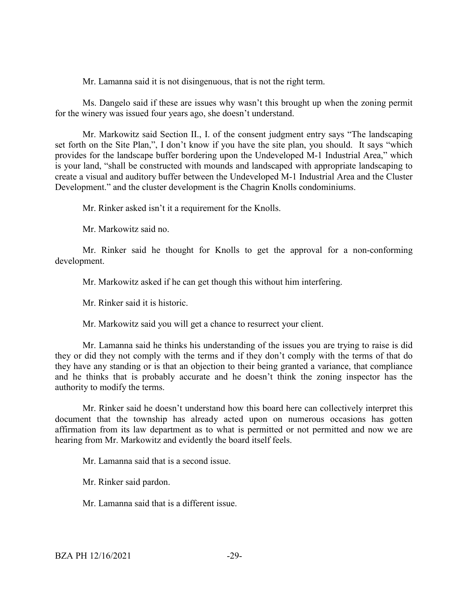Mr. Lamanna said it is not disingenuous, that is not the right term.

Ms. Dangelo said if these are issues why wasn't this brought up when the zoning permit for the winery was issued four years ago, she doesn't understand.

Mr. Markowitz said Section II., I. of the consent judgment entry says "The landscaping set forth on the Site Plan,", I don't know if you have the site plan, you should. It says "which provides for the landscape buffer bordering upon the Undeveloped M-1 Industrial Area," which is your land, "shall be constructed with mounds and landscaped with appropriate landscaping to create a visual and auditory buffer between the Undeveloped M-1 Industrial Area and the Cluster Development." and the cluster development is the Chagrin Knolls condominiums.

Mr. Rinker asked isn't it a requirement for the Knolls.

Mr. Markowitz said no.

Mr. Rinker said he thought for Knolls to get the approval for a non-conforming development.

Mr. Markowitz asked if he can get though this without him interfering.

Mr. Rinker said it is historic.

Mr. Markowitz said you will get a chance to resurrect your client.

Mr. Lamanna said he thinks his understanding of the issues you are trying to raise is did they or did they not comply with the terms and if they don't comply with the terms of that do they have any standing or is that an objection to their being granted a variance, that compliance and he thinks that is probably accurate and he doesn't think the zoning inspector has the authority to modify the terms.

Mr. Rinker said he doesn't understand how this board here can collectively interpret this document that the township has already acted upon on numerous occasions has gotten affirmation from its law department as to what is permitted or not permitted and now we are hearing from Mr. Markowitz and evidently the board itself feels.

Mr. Lamanna said that is a second issue.

Mr. Rinker said pardon.

Mr. Lamanna said that is a different issue.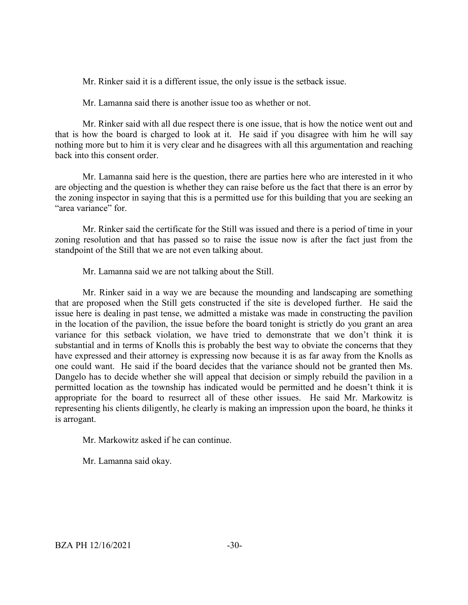Mr. Rinker said it is a different issue, the only issue is the setback issue.

Mr. Lamanna said there is another issue too as whether or not.

Mr. Rinker said with all due respect there is one issue, that is how the notice went out and that is how the board is charged to look at it. He said if you disagree with him he will say nothing more but to him it is very clear and he disagrees with all this argumentation and reaching back into this consent order.

Mr. Lamanna said here is the question, there are parties here who are interested in it who are objecting and the question is whether they can raise before us the fact that there is an error by the zoning inspector in saying that this is a permitted use for this building that you are seeking an "area variance" for.

Mr. Rinker said the certificate for the Still was issued and there is a period of time in your zoning resolution and that has passed so to raise the issue now is after the fact just from the standpoint of the Still that we are not even talking about.

Mr. Lamanna said we are not talking about the Still.

Mr. Rinker said in a way we are because the mounding and landscaping are something that are proposed when the Still gets constructed if the site is developed further. He said the issue here is dealing in past tense, we admitted a mistake was made in constructing the pavilion in the location of the pavilion, the issue before the board tonight is strictly do you grant an area variance for this setback violation, we have tried to demonstrate that we don't think it is substantial and in terms of Knolls this is probably the best way to obviate the concerns that they have expressed and their attorney is expressing now because it is as far away from the Knolls as one could want. He said if the board decides that the variance should not be granted then Ms. Dangelo has to decide whether she will appeal that decision or simply rebuild the pavilion in a permitted location as the township has indicated would be permitted and he doesn't think it is appropriate for the board to resurrect all of these other issues. He said Mr. Markowitz is representing his clients diligently, he clearly is making an impression upon the board, he thinks it is arrogant.

Mr. Markowitz asked if he can continue.

Mr. Lamanna said okay.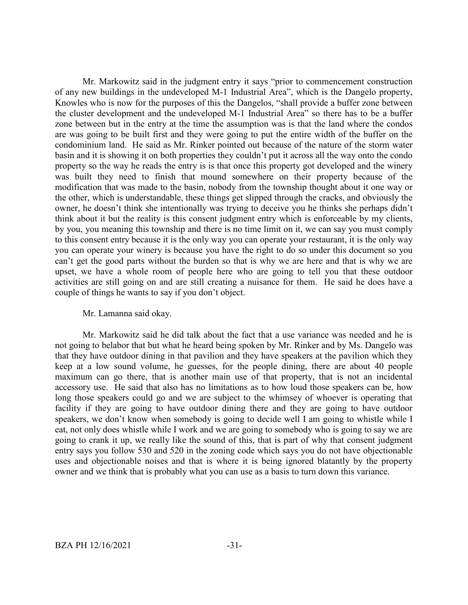Mr. Markowitz said in the judgment entry it says "prior to commencement construction of any new buildings in the undeveloped M-1 Industrial Area", which is the Dangelo property, Knowles who is now for the purposes of this the Dangelos, "shall provide a buffer zone between the cluster development and the undeveloped M-1 Industrial Area" so there has to be a buffer zone between but in the entry at the time the assumption was is that the land where the condos are was going to be built first and they were going to put the entire width of the buffer on the condominium land. He said as Mr. Rinker pointed out because of the nature of the storm water basin and it is showing it on both properties they couldn't put it across all the way onto the condo property so the way he reads the entry is is that once this property got developed and the winery was built they need to finish that mound somewhere on their property because of the modification that was made to the basin, nobody from the township thought about it one way or the other, which is understandable, these things get slipped through the cracks, and obviously the owner, he doesn't think she intentionally was trying to deceive you he thinks she perhaps didn't think about it but the reality is this consent judgment entry which is enforceable by my clients, by you, you meaning this township and there is no time limit on it, we can say you must comply to this consent entry because it is the only way you can operate your restaurant, it is the only way you can operate your winery is because you have the right to do so under this document so you can't get the good parts without the burden so that is why we are here and that is why we are upset, we have a whole room of people here who are going to tell you that these outdoor activities are still going on and are still creating a nuisance for them. He said he does have a couple of things he wants to say if you don't object.

### Mr. Lamanna said okay.

Mr. Markowitz said he did talk about the fact that a use variance was needed and he is not going to belabor that but what he heard being spoken by Mr. Rinker and by Ms. Dangelo was that they have outdoor dining in that pavilion and they have speakers at the pavilion which they keep at a low sound volume, he guesses, for the people dining, there are about 40 people maximum can go there, that is another main use of that property, that is not an incidental accessory use. He said that also has no limitations as to how loud those speakers can be, how long those speakers could go and we are subject to the whimsey of whoever is operating that facility if they are going to have outdoor dining there and they are going to have outdoor speakers, we don't know when somebody is going to decide well I am going to whistle while I eat, not only does whistle while I work and we are going to somebody who is going to say we are going to crank it up, we really like the sound of this, that is part of why that consent judgment entry says you follow 530 and 520 in the zoning code which says you do not have objectionable uses and objectionable noises and that is where it is being ignored blatantly by the property owner and we think that is probably what you can use as a basis to turn down this variance.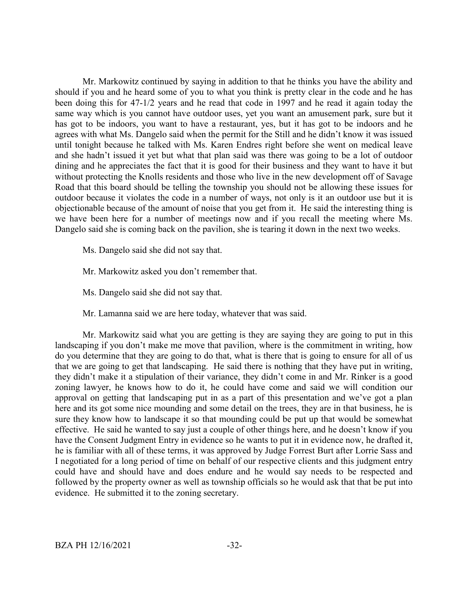Mr. Markowitz continued by saying in addition to that he thinks you have the ability and should if you and he heard some of you to what you think is pretty clear in the code and he has been doing this for 47-1/2 years and he read that code in 1997 and he read it again today the same way which is you cannot have outdoor uses, yet you want an amusement park, sure but it has got to be indoors, you want to have a restaurant, yes, but it has got to be indoors and he agrees with what Ms. Dangelo said when the permit for the Still and he didn't know it was issued until tonight because he talked with Ms. Karen Endres right before she went on medical leave and she hadn't issued it yet but what that plan said was there was going to be a lot of outdoor dining and he appreciates the fact that it is good for their business and they want to have it but without protecting the Knolls residents and those who live in the new development off of Savage Road that this board should be telling the township you should not be allowing these issues for outdoor because it violates the code in a number of ways, not only is it an outdoor use but it is objectionable because of the amount of noise that you get from it. He said the interesting thing is we have been here for a number of meetings now and if you recall the meeting where Ms. Dangelo said she is coming back on the pavilion, she is tearing it down in the next two weeks.

Ms. Dangelo said she did not say that.

Mr. Markowitz asked you don't remember that.

Ms. Dangelo said she did not say that.

Mr. Lamanna said we are here today, whatever that was said.

Mr. Markowitz said what you are getting is they are saying they are going to put in this landscaping if you don't make me move that pavilion, where is the commitment in writing, how do you determine that they are going to do that, what is there that is going to ensure for all of us that we are going to get that landscaping. He said there is nothing that they have put in writing, they didn't make it a stipulation of their variance, they didn't come in and Mr. Rinker is a good zoning lawyer, he knows how to do it, he could have come and said we will condition our approval on getting that landscaping put in as a part of this presentation and we've got a plan here and its got some nice mounding and some detail on the trees, they are in that business, he is sure they know how to landscape it so that mounding could be put up that would be somewhat effective. He said he wanted to say just a couple of other things here, and he doesn't know if you have the Consent Judgment Entry in evidence so he wants to put it in evidence now, he drafted it, he is familiar with all of these terms, it was approved by Judge Forrest Burt after Lorrie Sass and I negotiated for a long period of time on behalf of our respective clients and this judgment entry could have and should have and does endure and he would say needs to be respected and followed by the property owner as well as township officials so he would ask that that be put into evidence. He submitted it to the zoning secretary.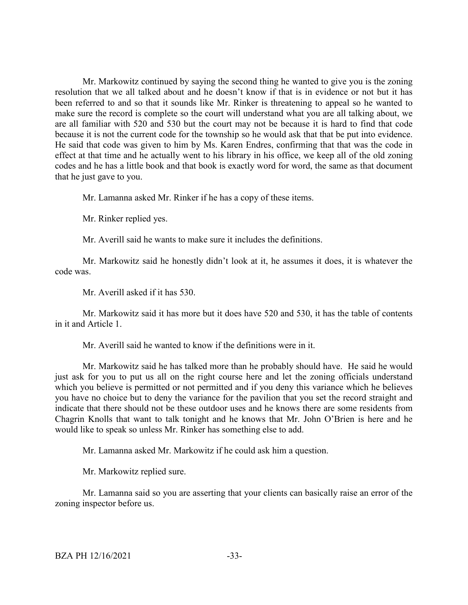Mr. Markowitz continued by saying the second thing he wanted to give you is the zoning resolution that we all talked about and he doesn't know if that is in evidence or not but it has been referred to and so that it sounds like Mr. Rinker is threatening to appeal so he wanted to make sure the record is complete so the court will understand what you are all talking about, we are all familiar with 520 and 530 but the court may not be because it is hard to find that code because it is not the current code for the township so he would ask that that be put into evidence. He said that code was given to him by Ms. Karen Endres, confirming that that was the code in effect at that time and he actually went to his library in his office, we keep all of the old zoning codes and he has a little book and that book is exactly word for word, the same as that document that he just gave to you.

Mr. Lamanna asked Mr. Rinker if he has a copy of these items.

Mr. Rinker replied yes.

Mr. Averill said he wants to make sure it includes the definitions.

Mr. Markowitz said he honestly didn't look at it, he assumes it does, it is whatever the code was.

Mr. Averill asked if it has 530.

Mr. Markowitz said it has more but it does have 520 and 530, it has the table of contents in it and Article 1.

Mr. Averill said he wanted to know if the definitions were in it.

Mr. Markowitz said he has talked more than he probably should have. He said he would just ask for you to put us all on the right course here and let the zoning officials understand which you believe is permitted or not permitted and if you deny this variance which he believes you have no choice but to deny the variance for the pavilion that you set the record straight and indicate that there should not be these outdoor uses and he knows there are some residents from Chagrin Knolls that want to talk tonight and he knows that Mr. John O'Brien is here and he would like to speak so unless Mr. Rinker has something else to add.

Mr. Lamanna asked Mr. Markowitz if he could ask him a question.

Mr. Markowitz replied sure.

Mr. Lamanna said so you are asserting that your clients can basically raise an error of the zoning inspector before us.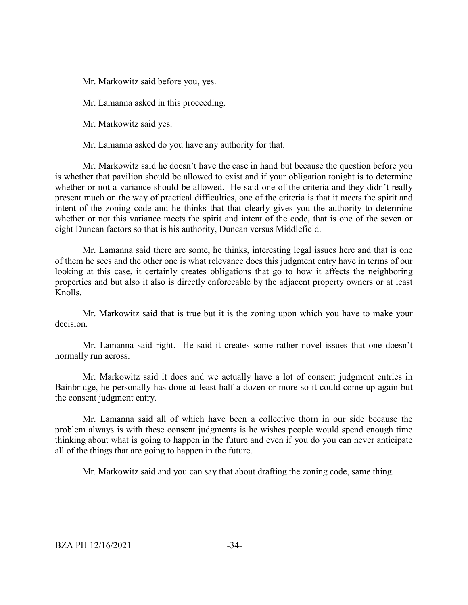Mr. Markowitz said before you, yes.

Mr. Lamanna asked in this proceeding.

Mr. Markowitz said yes.

Mr. Lamanna asked do you have any authority for that.

Mr. Markowitz said he doesn't have the case in hand but because the question before you is whether that pavilion should be allowed to exist and if your obligation tonight is to determine whether or not a variance should be allowed. He said one of the criteria and they didn't really present much on the way of practical difficulties, one of the criteria is that it meets the spirit and intent of the zoning code and he thinks that that clearly gives you the authority to determine whether or not this variance meets the spirit and intent of the code, that is one of the seven or eight Duncan factors so that is his authority, Duncan versus Middlefield.

Mr. Lamanna said there are some, he thinks, interesting legal issues here and that is one of them he sees and the other one is what relevance does this judgment entry have in terms of our looking at this case, it certainly creates obligations that go to how it affects the neighboring properties and but also it also is directly enforceable by the adjacent property owners or at least Knolls.

Mr. Markowitz said that is true but it is the zoning upon which you have to make your decision.

Mr. Lamanna said right. He said it creates some rather novel issues that one doesn't normally run across.

Mr. Markowitz said it does and we actually have a lot of consent judgment entries in Bainbridge, he personally has done at least half a dozen or more so it could come up again but the consent judgment entry.

Mr. Lamanna said all of which have been a collective thorn in our side because the problem always is with these consent judgments is he wishes people would spend enough time thinking about what is going to happen in the future and even if you do you can never anticipate all of the things that are going to happen in the future.

Mr. Markowitz said and you can say that about drafting the zoning code, same thing.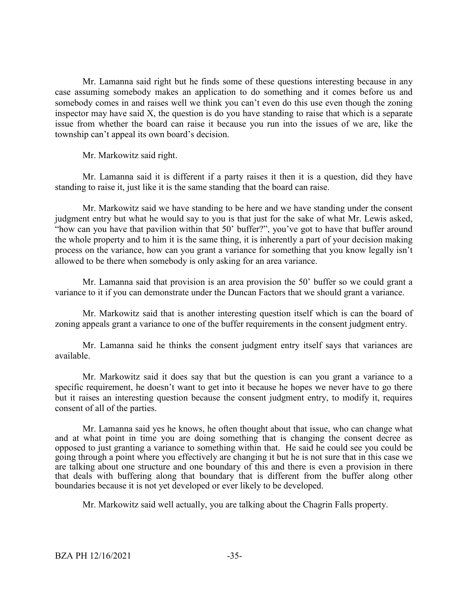Mr. Lamanna said right but he finds some of these questions interesting because in any case assuming somebody makes an application to do something and it comes before us and somebody comes in and raises well we think you can't even do this use even though the zoning inspector may have said X, the question is do you have standing to raise that which is a separate issue from whether the board can raise it because you run into the issues of we are, like the township can't appeal its own board's decision.

Mr. Markowitz said right.

Mr. Lamanna said it is different if a party raises it then it is a question, did they have standing to raise it, just like it is the same standing that the board can raise.

Mr. Markowitz said we have standing to be here and we have standing under the consent judgment entry but what he would say to you is that just for the sake of what Mr. Lewis asked, "how can you have that pavilion within that 50' buffer?", you've got to have that buffer around the whole property and to him it is the same thing, it is inherently a part of your decision making process on the variance, how can you grant a variance for something that you know legally isn't allowed to be there when somebody is only asking for an area variance.

Mr. Lamanna said that provision is an area provision the 50' buffer so we could grant a variance to it if you can demonstrate under the Duncan Factors that we should grant a variance.

Mr. Markowitz said that is another interesting question itself which is can the board of zoning appeals grant a variance to one of the buffer requirements in the consent judgment entry.

Mr. Lamanna said he thinks the consent judgment entry itself says that variances are available.

Mr. Markowitz said it does say that but the question is can you grant a variance to a specific requirement, he doesn't want to get into it because he hopes we never have to go there but it raises an interesting question because the consent judgment entry, to modify it, requires consent of all of the parties.

Mr. Lamanna said yes he knows, he often thought about that issue, who can change what and at what point in time you are doing something that is changing the consent decree as opposed to just granting a variance to something within that. He said he could see you could be going through a point where you effectively are changing it but he is not sure that in this case we are talking about one structure and one boundary of this and there is even a provision in there that deals with buffering along that boundary that is different from the buffer along other boundaries because it is not yet developed or ever likely to be developed.

Mr. Markowitz said well actually, you are talking about the Chagrin Falls property.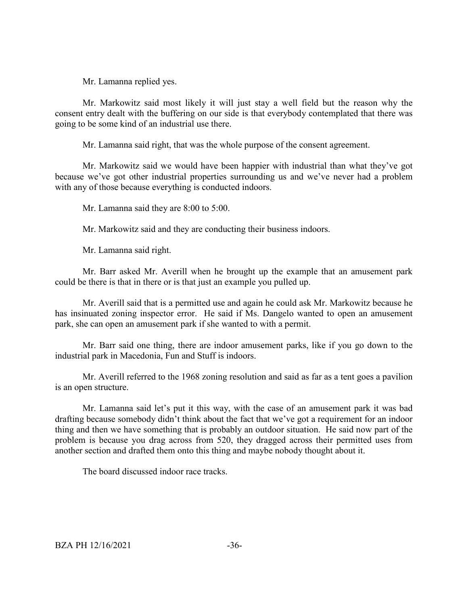Mr. Lamanna replied yes.

Mr. Markowitz said most likely it will just stay a well field but the reason why the consent entry dealt with the buffering on our side is that everybody contemplated that there was going to be some kind of an industrial use there.

Mr. Lamanna said right, that was the whole purpose of the consent agreement.

Mr. Markowitz said we would have been happier with industrial than what they've got because we've got other industrial properties surrounding us and we've never had a problem with any of those because everything is conducted indoors.

Mr. Lamanna said they are 8:00 to 5:00.

Mr. Markowitz said and they are conducting their business indoors.

Mr. Lamanna said right.

Mr. Barr asked Mr. Averill when he brought up the example that an amusement park could be there is that in there or is that just an example you pulled up.

Mr. Averill said that is a permitted use and again he could ask Mr. Markowitz because he has insinuated zoning inspector error. He said if Ms. Dangelo wanted to open an amusement park, she can open an amusement park if she wanted to with a permit.

Mr. Barr said one thing, there are indoor amusement parks, like if you go down to the industrial park in Macedonia, Fun and Stuff is indoors.

Mr. Averill referred to the 1968 zoning resolution and said as far as a tent goes a pavilion is an open structure.

Mr. Lamanna said let's put it this way, with the case of an amusement park it was bad drafting because somebody didn't think about the fact that we've got a requirement for an indoor thing and then we have something that is probably an outdoor situation. He said now part of the problem is because you drag across from 520, they dragged across their permitted uses from another section and drafted them onto this thing and maybe nobody thought about it.

The board discussed indoor race tracks.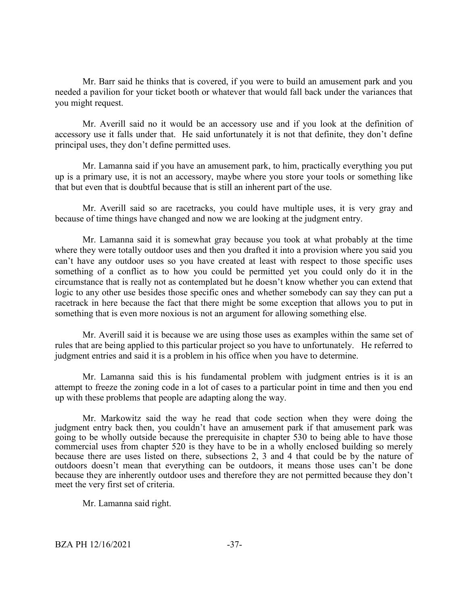Mr. Barr said he thinks that is covered, if you were to build an amusement park and you needed a pavilion for your ticket booth or whatever that would fall back under the variances that you might request.

Mr. Averill said no it would be an accessory use and if you look at the definition of accessory use it falls under that. He said unfortunately it is not that definite, they don't define principal uses, they don't define permitted uses.

Mr. Lamanna said if you have an amusement park, to him, practically everything you put up is a primary use, it is not an accessory, maybe where you store your tools or something like that but even that is doubtful because that is still an inherent part of the use.

Mr. Averill said so are racetracks, you could have multiple uses, it is very gray and because of time things have changed and now we are looking at the judgment entry.

Mr. Lamanna said it is somewhat gray because you took at what probably at the time where they were totally outdoor uses and then you drafted it into a provision where you said you can't have any outdoor uses so you have created at least with respect to those specific uses something of a conflict as to how you could be permitted yet you could only do it in the circumstance that is really not as contemplated but he doesn't know whether you can extend that logic to any other use besides those specific ones and whether somebody can say they can put a racetrack in here because the fact that there might be some exception that allows you to put in something that is even more noxious is not an argument for allowing something else.

Mr. Averill said it is because we are using those uses as examples within the same set of rules that are being applied to this particular project so you have to unfortunately. He referred to judgment entries and said it is a problem in his office when you have to determine.

Mr. Lamanna said this is his fundamental problem with judgment entries is it is an attempt to freeze the zoning code in a lot of cases to a particular point in time and then you end up with these problems that people are adapting along the way.

Mr. Markowitz said the way he read that code section when they were doing the judgment entry back then, you couldn't have an amusement park if that amusement park was going to be wholly outside because the prerequisite in chapter 530 to being able to have those commercial uses from chapter 520 is they have to be in a wholly enclosed building so merely because there are uses listed on there, subsections 2, 3 and 4 that could be by the nature of outdoors doesn't mean that everything can be outdoors, it means those uses can't be done because they are inherently outdoor uses and therefore they are not permitted because they don't meet the very first set of criteria.

Mr. Lamanna said right.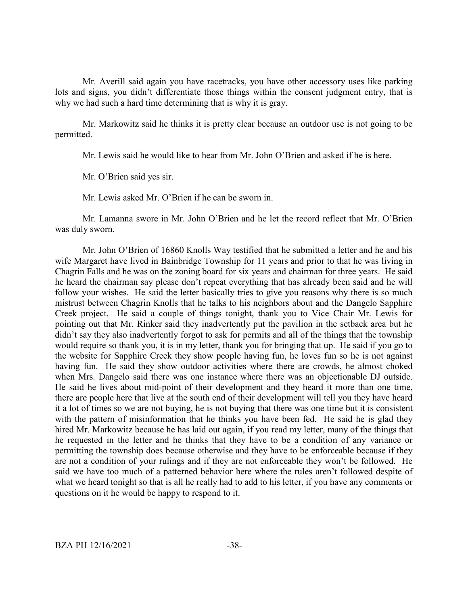Mr. Averill said again you have racetracks, you have other accessory uses like parking lots and signs, you didn't differentiate those things within the consent judgment entry, that is why we had such a hard time determining that is why it is gray.

Mr. Markowitz said he thinks it is pretty clear because an outdoor use is not going to be permitted.

Mr. Lewis said he would like to hear from Mr. John O'Brien and asked if he is here.

Mr. O'Brien said yes sir.

Mr. Lewis asked Mr. O'Brien if he can be sworn in.

Mr. Lamanna swore in Mr. John O'Brien and he let the record reflect that Mr. O'Brien was duly sworn.

Mr. John O'Brien of 16860 Knolls Way testified that he submitted a letter and he and his wife Margaret have lived in Bainbridge Township for 11 years and prior to that he was living in Chagrin Falls and he was on the zoning board for six years and chairman for three years. He said he heard the chairman say please don't repeat everything that has already been said and he will follow your wishes. He said the letter basically tries to give you reasons why there is so much mistrust between Chagrin Knolls that he talks to his neighbors about and the Dangelo Sapphire Creek project. He said a couple of things tonight, thank you to Vice Chair Mr. Lewis for pointing out that Mr. Rinker said they inadvertently put the pavilion in the setback area but he didn't say they also inadvertently forgot to ask for permits and all of the things that the township would require so thank you, it is in my letter, thank you for bringing that up. He said if you go to the website for Sapphire Creek they show people having fun, he loves fun so he is not against having fun. He said they show outdoor activities where there are crowds, he almost choked when Mrs. Dangelo said there was one instance where there was an objectionable DJ outside. He said he lives about mid-point of their development and they heard it more than one time, there are people here that live at the south end of their development will tell you they have heard it a lot of times so we are not buying, he is not buying that there was one time but it is consistent with the pattern of misinformation that he thinks you have been fed. He said he is glad they hired Mr. Markowitz because he has laid out again, if you read my letter, many of the things that he requested in the letter and he thinks that they have to be a condition of any variance or permitting the township does because otherwise and they have to be enforceable because if they are not a condition of your rulings and if they are not enforceable they won't be followed. He said we have too much of a patterned behavior here where the rules aren't followed despite of what we heard tonight so that is all he really had to add to his letter, if you have any comments or questions on it he would be happy to respond to it.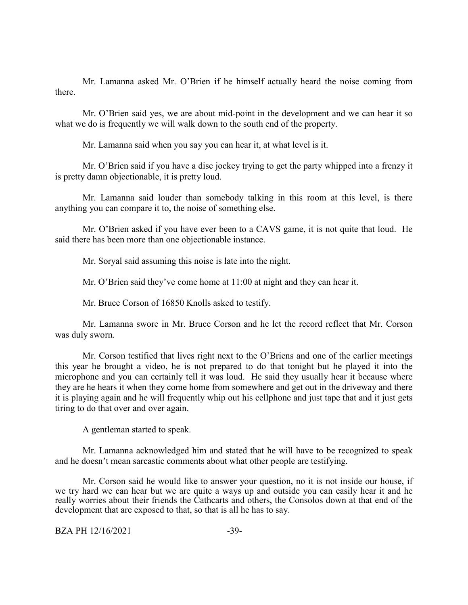Mr. Lamanna asked Mr. O'Brien if he himself actually heard the noise coming from there.

Mr. O'Brien said yes, we are about mid-point in the development and we can hear it so what we do is frequently we will walk down to the south end of the property.

Mr. Lamanna said when you say you can hear it, at what level is it.

Mr. O'Brien said if you have a disc jockey trying to get the party whipped into a frenzy it is pretty damn objectionable, it is pretty loud.

Mr. Lamanna said louder than somebody talking in this room at this level, is there anything you can compare it to, the noise of something else.

Mr. O'Brien asked if you have ever been to a CAVS game, it is not quite that loud. He said there has been more than one objectionable instance.

Mr. Soryal said assuming this noise is late into the night.

Mr. O'Brien said they've come home at 11:00 at night and they can hear it.

Mr. Bruce Corson of 16850 Knolls asked to testify.

Mr. Lamanna swore in Mr. Bruce Corson and he let the record reflect that Mr. Corson was duly sworn.

Mr. Corson testified that lives right next to the O'Briens and one of the earlier meetings this year he brought a video, he is not prepared to do that tonight but he played it into the microphone and you can certainly tell it was loud. He said they usually hear it because where they are he hears it when they come home from somewhere and get out in the driveway and there it is playing again and he will frequently whip out his cellphone and just tape that and it just gets tiring to do that over and over again.

A gentleman started to speak.

Mr. Lamanna acknowledged him and stated that he will have to be recognized to speak and he doesn't mean sarcastic comments about what other people are testifying.

Mr. Corson said he would like to answer your question, no it is not inside our house, if we try hard we can hear but we are quite a ways up and outside you can easily hear it and he really worries about their friends the Cathcarts and others, the Consolos down at that end of the development that are exposed to that, so that is all he has to say.

BZA PH 12/16/2021 -39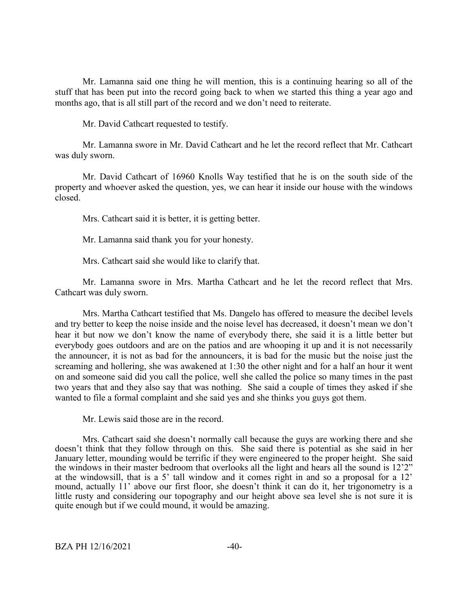Mr. Lamanna said one thing he will mention, this is a continuing hearing so all of the stuff that has been put into the record going back to when we started this thing a year ago and months ago, that is all still part of the record and we don't need to reiterate.

Mr. David Cathcart requested to testify.

Mr. Lamanna swore in Mr. David Cathcart and he let the record reflect that Mr. Cathcart was duly sworn.

Mr. David Cathcart of 16960 Knolls Way testified that he is on the south side of the property and whoever asked the question, yes, we can hear it inside our house with the windows closed.

Mrs. Cathcart said it is better, it is getting better.

Mr. Lamanna said thank you for your honesty.

Mrs. Cathcart said she would like to clarify that.

Mr. Lamanna swore in Mrs. Martha Cathcart and he let the record reflect that Mrs. Cathcart was duly sworn.

Mrs. Martha Cathcart testified that Ms. Dangelo has offered to measure the decibel levels and try better to keep the noise inside and the noise level has decreased, it doesn't mean we don't hear it but now we don't know the name of everybody there, she said it is a little better but everybody goes outdoors and are on the patios and are whooping it up and it is not necessarily the announcer, it is not as bad for the announcers, it is bad for the music but the noise just the screaming and hollering, she was awakened at 1:30 the other night and for a half an hour it went on and someone said did you call the police, well she called the police so many times in the past two years that and they also say that was nothing. She said a couple of times they asked if she wanted to file a formal complaint and she said yes and she thinks you guys got them.

Mr. Lewis said those are in the record.

Mrs. Cathcart said she doesn't normally call because the guys are working there and she doesn't think that they follow through on this. She said there is potential as she said in her January letter, mounding would be terrific if they were engineered to the proper height. She said the windows in their master bedroom that overlooks all the light and hears all the sound is 12'2" at the windowsill, that is a 5' tall window and it comes right in and so a proposal for a 12' mound, actually 11' above our first floor, she doesn't think it can do it, her trigonometry is a little rusty and considering our topography and our height above sea level she is not sure it is quite enough but if we could mound, it would be amazing.

 $BZA$  PH  $12/16/2021$   $-40-$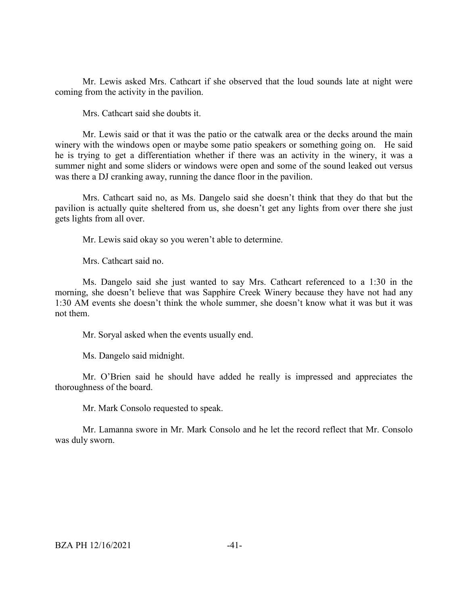Mr. Lewis asked Mrs. Cathcart if she observed that the loud sounds late at night were coming from the activity in the pavilion.

Mrs. Cathcart said she doubts it.

Mr. Lewis said or that it was the patio or the catwalk area or the decks around the main winery with the windows open or maybe some patio speakers or something going on. He said he is trying to get a differentiation whether if there was an activity in the winery, it was a summer night and some sliders or windows were open and some of the sound leaked out versus was there a DJ cranking away, running the dance floor in the pavilion.

Mrs. Cathcart said no, as Ms. Dangelo said she doesn't think that they do that but the pavilion is actually quite sheltered from us, she doesn't get any lights from over there she just gets lights from all over.

Mr. Lewis said okay so you weren't able to determine.

Mrs. Cathcart said no.

Ms. Dangelo said she just wanted to say Mrs. Cathcart referenced to a 1:30 in the morning, she doesn't believe that was Sapphire Creek Winery because they have not had any 1:30 AM events she doesn't think the whole summer, she doesn't know what it was but it was not them.

Mr. Soryal asked when the events usually end.

Ms. Dangelo said midnight.

Mr. O'Brien said he should have added he really is impressed and appreciates the thoroughness of the board.

Mr. Mark Consolo requested to speak.

Mr. Lamanna swore in Mr. Mark Consolo and he let the record reflect that Mr. Consolo was duly sworn.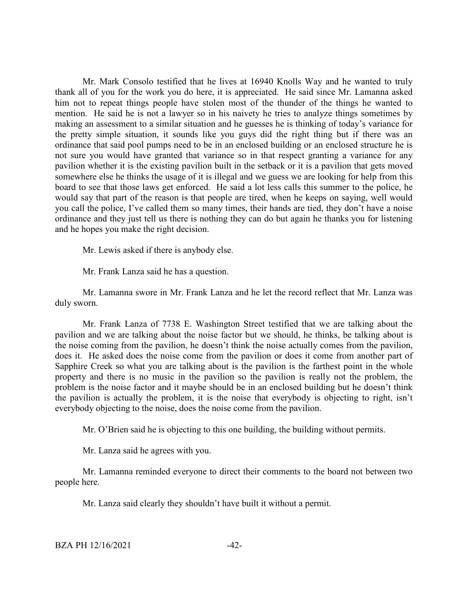Mr. Mark Consolo testified that he lives at 16940 Knolls Way and he wanted to truly thank all of you for the work you do here, it is appreciated. He said since Mr. Lamanna asked him not to repeat things people have stolen most of the thunder of the things he wanted to mention. He said he is not a lawyer so in his naivety he tries to analyze things sometimes by making an assessment to a similar situation and he guesses he is thinking of today's variance for the pretty simple situation, it sounds like you guys did the right thing but if there was an ordinance that said pool pumps need to be in an enclosed building or an enclosed structure he is not sure you would have granted that variance so in that respect granting a variance for any pavilion whether it is the existing pavilion built in the setback or it is a pavilion that gets moved somewhere else he thinks the usage of it is illegal and we guess we are looking for help from this board to see that those laws get enforced. He said a lot less calls this summer to the police, he would say that part of the reason is that people are tired, when he keeps on saying, well would you call the police, I've called them so many times, their hands are tied, they don't have a noise ordinance and they just tell us there is nothing they can do but again he thanks you for listening and he hopes you make the right decision.

Mr. Lewis asked if there is anybody else.

Mr. Frank Lanza said he has a question.

Mr. Lamanna swore in Mr. Frank Lanza and he let the record reflect that Mr. Lanza was duly sworn.

Mr. Frank Lanza of 7738 E. Washington Street testified that we are talking about the pavilion and we are talking about the noise factor but we should, he thinks, be talking about is the noise coming from the pavilion, he doesn't think the noise actually comes from the pavilion, does it. He asked does the noise come from the pavilion or does it come from another part of Sapphire Creek so what you are talking about is the pavilion is the farthest point in the whole property and there is no music in the pavilion so the pavilion is really not the problem, the problem is the noise factor and it maybe should be in an enclosed building but he doesn't think the pavilion is actually the problem, it is the noise that everybody is objecting to right, isn't everybody objecting to the noise, does the noise come from the pavilion.

Mr. O'Brien said he is objecting to this one building, the building without permits.

Mr. Lanza said he agrees with you.

Mr. Lamanna reminded everyone to direct their comments to the board not between two people here.

Mr. Lanza said clearly they shouldn't have built it without a permit.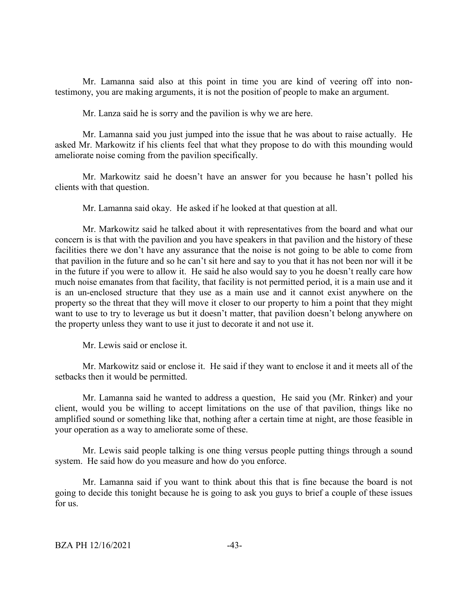Mr. Lamanna said also at this point in time you are kind of veering off into nontestimony, you are making arguments, it is not the position of people to make an argument.

Mr. Lanza said he is sorry and the pavilion is why we are here.

Mr. Lamanna said you just jumped into the issue that he was about to raise actually. He asked Mr. Markowitz if his clients feel that what they propose to do with this mounding would ameliorate noise coming from the pavilion specifically.

Mr. Markowitz said he doesn't have an answer for you because he hasn't polled his clients with that question.

Mr. Lamanna said okay. He asked if he looked at that question at all.

Mr. Markowitz said he talked about it with representatives from the board and what our concern is is that with the pavilion and you have speakers in that pavilion and the history of these facilities there we don't have any assurance that the noise is not going to be able to come from that pavilion in the future and so he can't sit here and say to you that it has not been nor will it be in the future if you were to allow it. He said he also would say to you he doesn't really care how much noise emanates from that facility, that facility is not permitted period, it is a main use and it is an un-enclosed structure that they use as a main use and it cannot exist anywhere on the property so the threat that they will move it closer to our property to him a point that they might want to use to try to leverage us but it doesn't matter, that pavilion doesn't belong anywhere on the property unless they want to use it just to decorate it and not use it.

Mr. Lewis said or enclose it.

Mr. Markowitz said or enclose it. He said if they want to enclose it and it meets all of the setbacks then it would be permitted.

Mr. Lamanna said he wanted to address a question, He said you (Mr. Rinker) and your client, would you be willing to accept limitations on the use of that pavilion, things like no amplified sound or something like that, nothing after a certain time at night, are those feasible in your operation as a way to ameliorate some of these.

Mr. Lewis said people talking is one thing versus people putting things through a sound system. He said how do you measure and how do you enforce.

Mr. Lamanna said if you want to think about this that is fine because the board is not going to decide this tonight because he is going to ask you guys to brief a couple of these issues for us.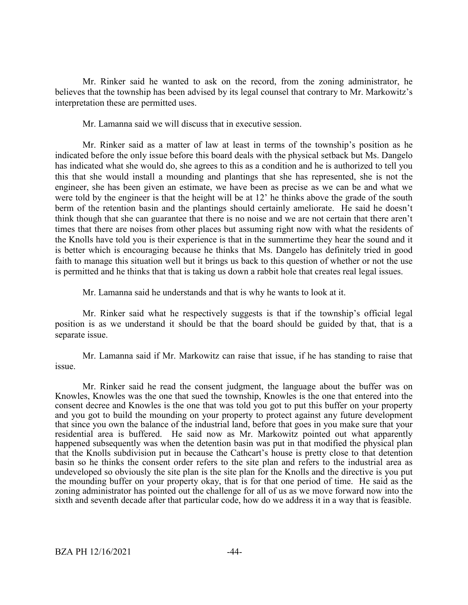Mr. Rinker said he wanted to ask on the record, from the zoning administrator, he believes that the township has been advised by its legal counsel that contrary to Mr. Markowitz's interpretation these are permitted uses.

Mr. Lamanna said we will discuss that in executive session.

Mr. Rinker said as a matter of law at least in terms of the township's position as he indicated before the only issue before this board deals with the physical setback but Ms. Dangelo has indicated what she would do, she agrees to this as a condition and he is authorized to tell you this that she would install a mounding and plantings that she has represented, she is not the engineer, she has been given an estimate, we have been as precise as we can be and what we were told by the engineer is that the height will be at 12' he thinks above the grade of the south berm of the retention basin and the plantings should certainly ameliorate. He said he doesn't think though that she can guarantee that there is no noise and we are not certain that there aren't times that there are noises from other places but assuming right now with what the residents of the Knolls have told you is their experience is that in the summertime they hear the sound and it is better which is encouraging because he thinks that Ms. Dangelo has definitely tried in good faith to manage this situation well but it brings us back to this question of whether or not the use is permitted and he thinks that that is taking us down a rabbit hole that creates real legal issues.

Mr. Lamanna said he understands and that is why he wants to look at it.

Mr. Rinker said what he respectively suggests is that if the township's official legal position is as we understand it should be that the board should be guided by that, that is a separate issue.

Mr. Lamanna said if Mr. Markowitz can raise that issue, if he has standing to raise that issue.

Mr. Rinker said he read the consent judgment, the language about the buffer was on Knowles, Knowles was the one that sued the township, Knowles is the one that entered into the consent decree and Knowles is the one that was told you got to put this buffer on your property and you got to build the mounding on your property to protect against any future development that since you own the balance of the industrial land, before that goes in you make sure that your residential area is buffered. He said now as Mr. Markowitz pointed out what apparently happened subsequently was when the detention basin was put in that modified the physical plan that the Knolls subdivision put in because the Cathcart's house is pretty close to that detention basin so he thinks the consent order refers to the site plan and refers to the industrial area as undeveloped so obviously the site plan is the site plan for the Knolls and the directive is you put the mounding buffer on your property okay, that is for that one period of time. He said as the zoning administrator has pointed out the challenge for all of us as we move forward now into the sixth and seventh decade after that particular code, how do we address it in a way that is feasible.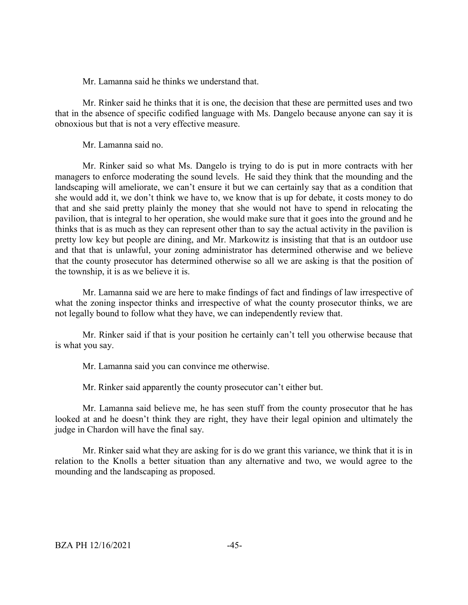Mr. Lamanna said he thinks we understand that.

Mr. Rinker said he thinks that it is one, the decision that these are permitted uses and two that in the absence of specific codified language with Ms. Dangelo because anyone can say it is obnoxious but that is not a very effective measure.

Mr. Lamanna said no.

Mr. Rinker said so what Ms. Dangelo is trying to do is put in more contracts with her managers to enforce moderating the sound levels. He said they think that the mounding and the landscaping will ameliorate, we can't ensure it but we can certainly say that as a condition that she would add it, we don't think we have to, we know that is up for debate, it costs money to do that and she said pretty plainly the money that she would not have to spend in relocating the pavilion, that is integral to her operation, she would make sure that it goes into the ground and he thinks that is as much as they can represent other than to say the actual activity in the pavilion is pretty low key but people are dining, and Mr. Markowitz is insisting that that is an outdoor use and that that is unlawful, your zoning administrator has determined otherwise and we believe that the county prosecutor has determined otherwise so all we are asking is that the position of the township, it is as we believe it is.

Mr. Lamanna said we are here to make findings of fact and findings of law irrespective of what the zoning inspector thinks and irrespective of what the county prosecutor thinks, we are not legally bound to follow what they have, we can independently review that.

Mr. Rinker said if that is your position he certainly can't tell you otherwise because that is what you say.

Mr. Lamanna said you can convince me otherwise.

Mr. Rinker said apparently the county prosecutor can't either but.

Mr. Lamanna said believe me, he has seen stuff from the county prosecutor that he has looked at and he doesn't think they are right, they have their legal opinion and ultimately the judge in Chardon will have the final say.

Mr. Rinker said what they are asking for is do we grant this variance, we think that it is in relation to the Knolls a better situation than any alternative and two, we would agree to the mounding and the landscaping as proposed.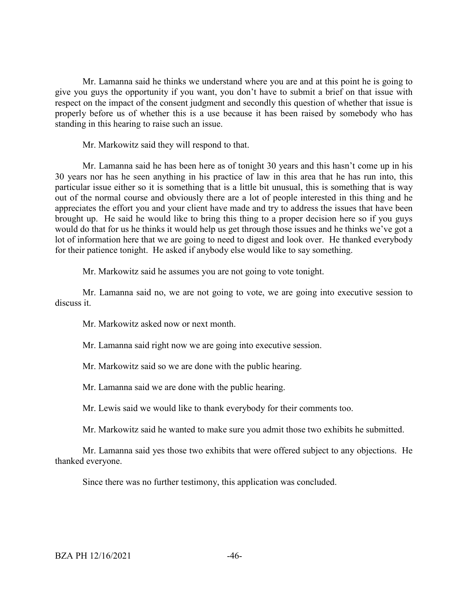Mr. Lamanna said he thinks we understand where you are and at this point he is going to give you guys the opportunity if you want, you don't have to submit a brief on that issue with respect on the impact of the consent judgment and secondly this question of whether that issue is properly before us of whether this is a use because it has been raised by somebody who has standing in this hearing to raise such an issue.

Mr. Markowitz said they will respond to that.

Mr. Lamanna said he has been here as of tonight 30 years and this hasn't come up in his 30 years nor has he seen anything in his practice of law in this area that he has run into, this particular issue either so it is something that is a little bit unusual, this is something that is way out of the normal course and obviously there are a lot of people interested in this thing and he appreciates the effort you and your client have made and try to address the issues that have been brought up. He said he would like to bring this thing to a proper decision here so if you guys would do that for us he thinks it would help us get through those issues and he thinks we've got a lot of information here that we are going to need to digest and look over. He thanked everybody for their patience tonight. He asked if anybody else would like to say something.

Mr. Markowitz said he assumes you are not going to vote tonight.

Mr. Lamanna said no, we are not going to vote, we are going into executive session to discuss it.

Mr. Markowitz asked now or next month.

Mr. Lamanna said right now we are going into executive session.

Mr. Markowitz said so we are done with the public hearing.

Mr. Lamanna said we are done with the public hearing.

Mr. Lewis said we would like to thank everybody for their comments too.

Mr. Markowitz said he wanted to make sure you admit those two exhibits he submitted.

Mr. Lamanna said yes those two exhibits that were offered subject to any objections. He thanked everyone.

Since there was no further testimony, this application was concluded.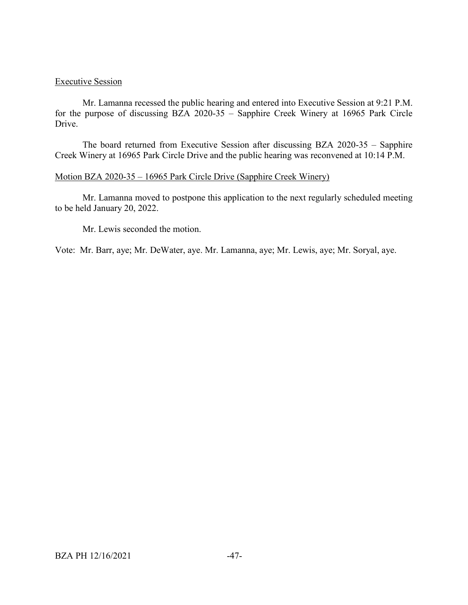# Executive Session

Mr. Lamanna recessed the public hearing and entered into Executive Session at 9:21 P.M. for the purpose of discussing BZA 2020-35 – Sapphire Creek Winery at 16965 Park Circle Drive.

The board returned from Executive Session after discussing BZA 2020-35 – Sapphire Creek Winery at 16965 Park Circle Drive and the public hearing was reconvened at 10:14 P.M.

# Motion BZA 2020-35 – 16965 Park Circle Drive (Sapphire Creek Winery)

Mr. Lamanna moved to postpone this application to the next regularly scheduled meeting to be held January 20, 2022.

Mr. Lewis seconded the motion.

Vote: Mr. Barr, aye; Mr. DeWater, aye. Mr. Lamanna, aye; Mr. Lewis, aye; Mr. Soryal, aye.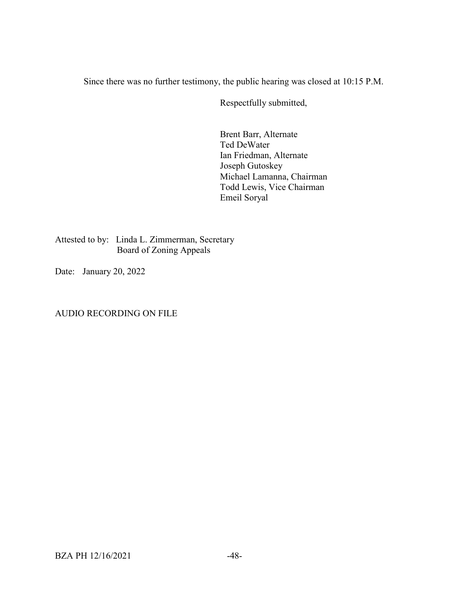Since there was no further testimony, the public hearing was closed at 10:15 P.M.

Respectfully submitted,

Brent Barr, Alternate Ted DeWater Ian Friedman, Alternate Joseph Gutoskey Michael Lamanna, Chairman Todd Lewis, Vice Chairman Emeil Soryal

Attested to by: Linda L. Zimmerman, Secretary Board of Zoning Appeals

Date: January 20, 2022

AUDIO RECORDING ON FILE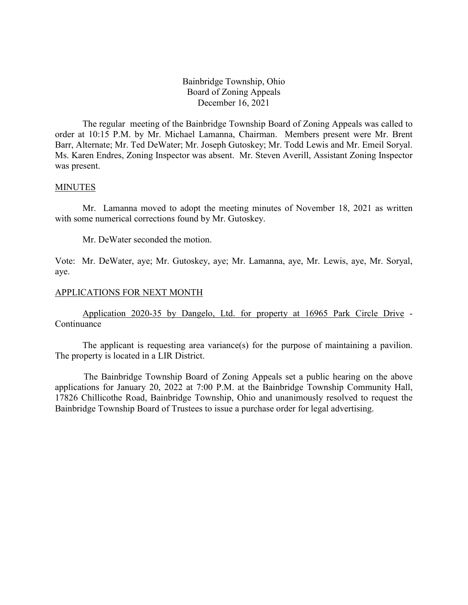Bainbridge Township, Ohio Board of Zoning Appeals December 16, 2021

The regular meeting of the Bainbridge Township Board of Zoning Appeals was called to order at 10:15 P.M. by Mr. Michael Lamanna, Chairman. Members present were Mr. Brent Barr, Alternate; Mr. Ted DeWater; Mr. Joseph Gutoskey; Mr. Todd Lewis and Mr. Emeil Soryal. Ms. Karen Endres, Zoning Inspector was absent. Mr. Steven Averill, Assistant Zoning Inspector was present.

#### MINUTES

Mr. Lamanna moved to adopt the meeting minutes of November 18, 2021 as written with some numerical corrections found by Mr. Gutoskey.

Mr. DeWater seconded the motion.

Vote: Mr. DeWater, aye; Mr. Gutoskey, aye; Mr. Lamanna, aye, Mr. Lewis, aye, Mr. Soryal, aye.

#### APPLICATIONS FOR NEXT MONTH

Application 2020-35 by Dangelo, Ltd. for property at 16965 Park Circle Drive - Continuance

The applicant is requesting area variance(s) for the purpose of maintaining a pavilion. The property is located in a LIR District.

The Bainbridge Township Board of Zoning Appeals set a public hearing on the above applications for January 20, 2022 at 7:00 P.M. at the Bainbridge Township Community Hall, 17826 Chillicothe Road, Bainbridge Township, Ohio and unanimously resolved to request the Bainbridge Township Board of Trustees to issue a purchase order for legal advertising.